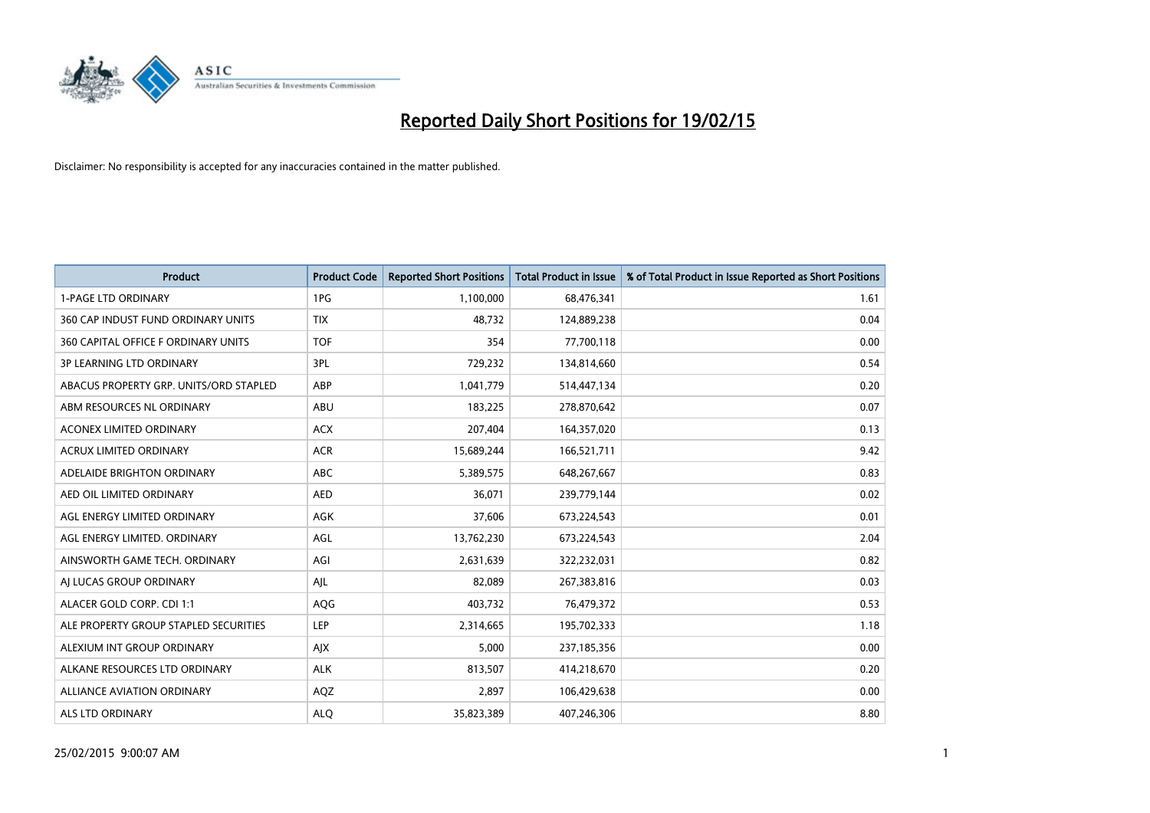

| <b>Product</b>                         | <b>Product Code</b> | <b>Reported Short Positions</b> | <b>Total Product in Issue</b> | % of Total Product in Issue Reported as Short Positions |
|----------------------------------------|---------------------|---------------------------------|-------------------------------|---------------------------------------------------------|
| <b>1-PAGE LTD ORDINARY</b>             | 1PG                 | 1,100,000                       | 68,476,341                    | 1.61                                                    |
| 360 CAP INDUST FUND ORDINARY UNITS     | <b>TIX</b>          | 48,732                          | 124,889,238                   | 0.04                                                    |
| 360 CAPITAL OFFICE F ORDINARY UNITS    | <b>TOF</b>          | 354                             | 77,700,118                    | 0.00                                                    |
| <b>3P LEARNING LTD ORDINARY</b>        | 3PL                 | 729,232                         | 134,814,660                   | 0.54                                                    |
| ABACUS PROPERTY GRP. UNITS/ORD STAPLED | ABP                 | 1,041,779                       | 514,447,134                   | 0.20                                                    |
| ABM RESOURCES NL ORDINARY              | ABU                 | 183,225                         | 278,870,642                   | 0.07                                                    |
| ACONEX LIMITED ORDINARY                | <b>ACX</b>          | 207,404                         | 164,357,020                   | 0.13                                                    |
| ACRUX LIMITED ORDINARY                 | <b>ACR</b>          | 15,689,244                      | 166,521,711                   | 9.42                                                    |
| ADELAIDE BRIGHTON ORDINARY             | <b>ABC</b>          | 5,389,575                       | 648,267,667                   | 0.83                                                    |
| AED OIL LIMITED ORDINARY               | <b>AED</b>          | 36,071                          | 239,779,144                   | 0.02                                                    |
| AGL ENERGY LIMITED ORDINARY            | AGK                 | 37,606                          | 673,224,543                   | 0.01                                                    |
| AGL ENERGY LIMITED. ORDINARY           | AGL                 | 13,762,230                      | 673,224,543                   | 2.04                                                    |
| AINSWORTH GAME TECH. ORDINARY          | AGI                 | 2,631,639                       | 322,232,031                   | 0.82                                                    |
| AI LUCAS GROUP ORDINARY                | AJL                 | 82,089                          | 267,383,816                   | 0.03                                                    |
| ALACER GOLD CORP. CDI 1:1              | AQG                 | 403,732                         | 76,479,372                    | 0.53                                                    |
| ALE PROPERTY GROUP STAPLED SECURITIES  | LEP                 | 2,314,665                       | 195,702,333                   | 1.18                                                    |
| ALEXIUM INT GROUP ORDINARY             | AJX                 | 5,000                           | 237,185,356                   | 0.00                                                    |
| ALKANE RESOURCES LTD ORDINARY          | <b>ALK</b>          | 813,507                         | 414,218,670                   | 0.20                                                    |
| ALLIANCE AVIATION ORDINARY             | AQZ                 | 2,897                           | 106,429,638                   | 0.00                                                    |
| ALS LTD ORDINARY                       | <b>ALQ</b>          | 35,823,389                      | 407,246,306                   | 8.80                                                    |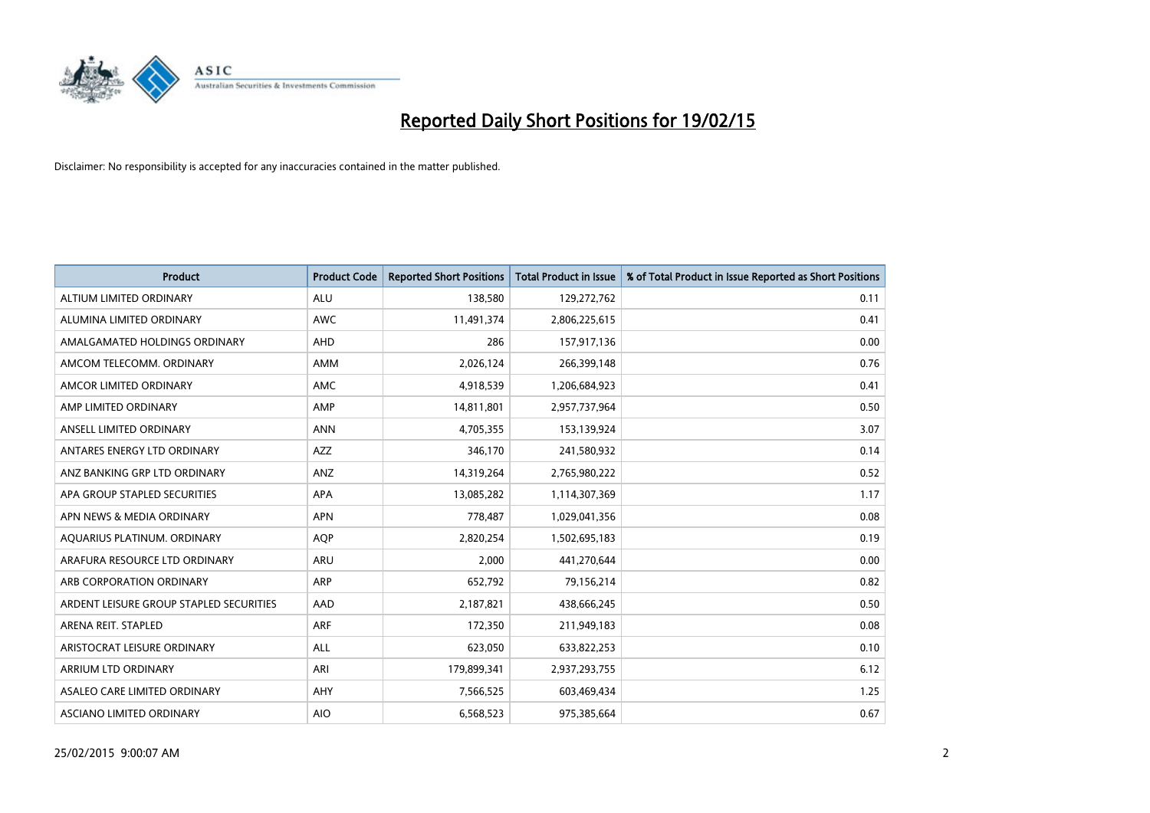

| <b>Product</b>                          | <b>Product Code</b> | <b>Reported Short Positions</b> | <b>Total Product in Issue</b> | % of Total Product in Issue Reported as Short Positions |
|-----------------------------------------|---------------------|---------------------------------|-------------------------------|---------------------------------------------------------|
| ALTIUM LIMITED ORDINARY                 | <b>ALU</b>          | 138,580                         | 129,272,762                   | 0.11                                                    |
| ALUMINA LIMITED ORDINARY                | AWC                 | 11,491,374                      | 2,806,225,615                 | 0.41                                                    |
| AMALGAMATED HOLDINGS ORDINARY           | AHD                 | 286                             | 157,917,136                   | 0.00                                                    |
| AMCOM TELECOMM, ORDINARY                | AMM                 | 2,026,124                       | 266,399,148                   | 0.76                                                    |
| AMCOR LIMITED ORDINARY                  | AMC                 | 4,918,539                       | 1,206,684,923                 | 0.41                                                    |
| AMP LIMITED ORDINARY                    | AMP                 | 14,811,801                      | 2,957,737,964                 | 0.50                                                    |
| ANSELL LIMITED ORDINARY                 | <b>ANN</b>          | 4,705,355                       | 153,139,924                   | 3.07                                                    |
| ANTARES ENERGY LTD ORDINARY             | AZZ                 | 346,170                         | 241,580,932                   | 0.14                                                    |
| ANZ BANKING GRP LTD ORDINARY            | ANZ                 | 14,319,264                      | 2,765,980,222                 | 0.52                                                    |
| APA GROUP STAPLED SECURITIES            | <b>APA</b>          | 13,085,282                      | 1,114,307,369                 | 1.17                                                    |
| APN NEWS & MEDIA ORDINARY               | <b>APN</b>          | 778,487                         | 1,029,041,356                 | 0.08                                                    |
| AQUARIUS PLATINUM. ORDINARY             | <b>AOP</b>          | 2,820,254                       | 1,502,695,183                 | 0.19                                                    |
| ARAFURA RESOURCE LTD ORDINARY           | <b>ARU</b>          | 2,000                           | 441,270,644                   | 0.00                                                    |
| ARB CORPORATION ORDINARY                | <b>ARP</b>          | 652,792                         | 79,156,214                    | 0.82                                                    |
| ARDENT LEISURE GROUP STAPLED SECURITIES | AAD                 | 2,187,821                       | 438,666,245                   | 0.50                                                    |
| ARENA REIT. STAPLED                     | <b>ARF</b>          | 172,350                         | 211,949,183                   | 0.08                                                    |
| ARISTOCRAT LEISURE ORDINARY             | ALL                 | 623,050                         | 633,822,253                   | 0.10                                                    |
| ARRIUM LTD ORDINARY                     | ARI                 | 179,899,341                     | 2,937,293,755                 | 6.12                                                    |
| ASALEO CARE LIMITED ORDINARY            | AHY                 | 7,566,525                       | 603,469,434                   | 1.25                                                    |
| ASCIANO LIMITED ORDINARY                | <b>AIO</b>          | 6,568,523                       | 975,385,664                   | 0.67                                                    |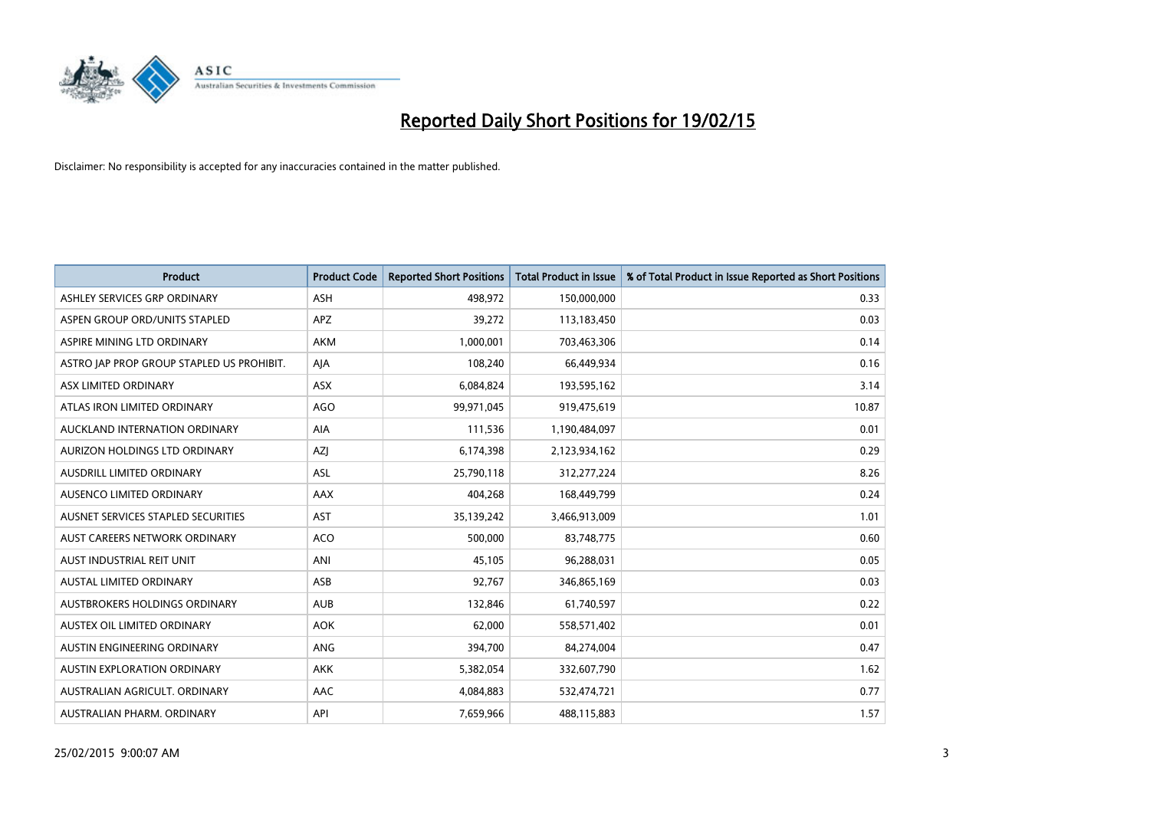

| <b>Product</b>                            | <b>Product Code</b> | <b>Reported Short Positions</b> | <b>Total Product in Issue</b> | % of Total Product in Issue Reported as Short Positions |
|-------------------------------------------|---------------------|---------------------------------|-------------------------------|---------------------------------------------------------|
| ASHLEY SERVICES GRP ORDINARY              | <b>ASH</b>          | 498,972                         | 150,000,000                   | 0.33                                                    |
| ASPEN GROUP ORD/UNITS STAPLED             | <b>APZ</b>          | 39,272                          | 113,183,450                   | 0.03                                                    |
| ASPIRE MINING LTD ORDINARY                | <b>AKM</b>          | 1,000,001                       | 703,463,306                   | 0.14                                                    |
| ASTRO JAP PROP GROUP STAPLED US PROHIBIT. | AJA                 | 108,240                         | 66,449,934                    | 0.16                                                    |
| ASX LIMITED ORDINARY                      | ASX                 | 6,084,824                       | 193,595,162                   | 3.14                                                    |
| ATLAS IRON LIMITED ORDINARY               | <b>AGO</b>          | 99,971,045                      | 919,475,619                   | 10.87                                                   |
| AUCKLAND INTERNATION ORDINARY             | AIA                 | 111,536                         | 1,190,484,097                 | 0.01                                                    |
| AURIZON HOLDINGS LTD ORDINARY             | AZJ                 | 6,174,398                       | 2,123,934,162                 | 0.29                                                    |
| AUSDRILL LIMITED ORDINARY                 | ASL                 | 25,790,118                      | 312,277,224                   | 8.26                                                    |
| AUSENCO LIMITED ORDINARY                  | AAX                 | 404,268                         | 168,449,799                   | 0.24                                                    |
| AUSNET SERVICES STAPLED SECURITIES        | <b>AST</b>          | 35,139,242                      | 3,466,913,009                 | 1.01                                                    |
| AUST CAREERS NETWORK ORDINARY             | <b>ACO</b>          | 500,000                         | 83,748,775                    | 0.60                                                    |
| AUST INDUSTRIAL REIT UNIT                 | ANI                 | 45,105                          | 96,288,031                    | 0.05                                                    |
| <b>AUSTAL LIMITED ORDINARY</b>            | ASB                 | 92,767                          | 346,865,169                   | 0.03                                                    |
| AUSTBROKERS HOLDINGS ORDINARY             | <b>AUB</b>          | 132,846                         | 61,740,597                    | 0.22                                                    |
| AUSTEX OIL LIMITED ORDINARY               | <b>AOK</b>          | 62,000                          | 558,571,402                   | 0.01                                                    |
| AUSTIN ENGINEERING ORDINARY               | ANG                 | 394,700                         | 84,274,004                    | 0.47                                                    |
| AUSTIN EXPLORATION ORDINARY               | <b>AKK</b>          | 5,382,054                       | 332,607,790                   | 1.62                                                    |
| AUSTRALIAN AGRICULT, ORDINARY             | AAC                 | 4,084,883                       | 532,474,721                   | 0.77                                                    |
| AUSTRALIAN PHARM. ORDINARY                | API                 | 7,659,966                       | 488,115,883                   | 1.57                                                    |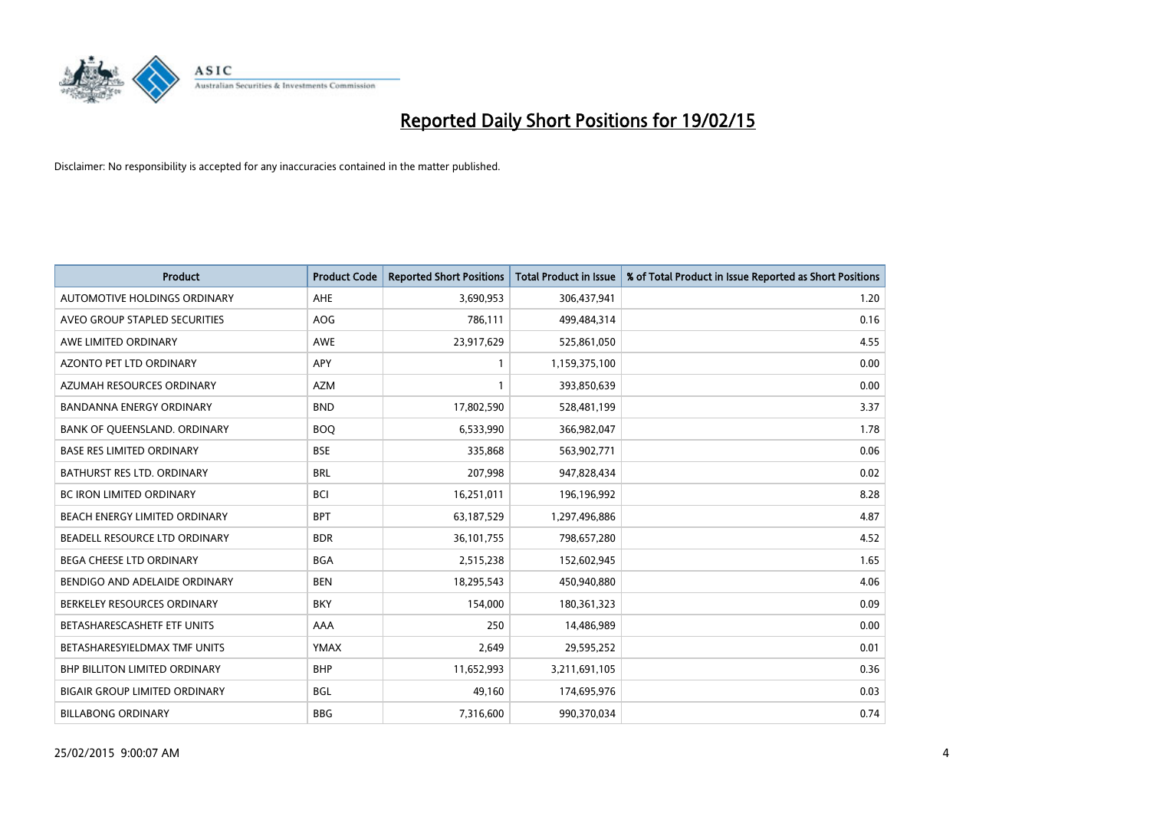

| <b>Product</b>                       | <b>Product Code</b> | <b>Reported Short Positions</b> | <b>Total Product in Issue</b> | % of Total Product in Issue Reported as Short Positions |
|--------------------------------------|---------------------|---------------------------------|-------------------------------|---------------------------------------------------------|
| AUTOMOTIVE HOLDINGS ORDINARY         | <b>AHE</b>          | 3,690,953                       | 306,437,941                   | 1.20                                                    |
| AVEO GROUP STAPLED SECURITIES        | <b>AOG</b>          | 786,111                         | 499,484,314                   | 0.16                                                    |
| AWE LIMITED ORDINARY                 | <b>AWE</b>          | 23,917,629                      | 525,861,050                   | 4.55                                                    |
| AZONTO PET LTD ORDINARY              | <b>APY</b>          | $\mathbf{1}$                    | 1,159,375,100                 | 0.00                                                    |
| AZUMAH RESOURCES ORDINARY            | <b>AZM</b>          | $\mathbf{1}$                    | 393,850,639                   | 0.00                                                    |
| <b>BANDANNA ENERGY ORDINARY</b>      | <b>BND</b>          | 17,802,590                      | 528,481,199                   | 3.37                                                    |
| BANK OF QUEENSLAND. ORDINARY         | <b>BOQ</b>          | 6,533,990                       | 366,982,047                   | 1.78                                                    |
| <b>BASE RES LIMITED ORDINARY</b>     | <b>BSE</b>          | 335,868                         | 563,902,771                   | 0.06                                                    |
| <b>BATHURST RES LTD. ORDINARY</b>    | <b>BRL</b>          | 207,998                         | 947,828,434                   | 0.02                                                    |
| <b>BC IRON LIMITED ORDINARY</b>      | <b>BCI</b>          | 16,251,011                      | 196,196,992                   | 8.28                                                    |
| BEACH ENERGY LIMITED ORDINARY        | <b>BPT</b>          | 63,187,529                      | 1,297,496,886                 | 4.87                                                    |
| BEADELL RESOURCE LTD ORDINARY        | <b>BDR</b>          | 36,101,755                      | 798,657,280                   | 4.52                                                    |
| <b>BEGA CHEESE LTD ORDINARY</b>      | <b>BGA</b>          | 2,515,238                       | 152,602,945                   | 1.65                                                    |
| BENDIGO AND ADELAIDE ORDINARY        | <b>BEN</b>          | 18,295,543                      | 450,940,880                   | 4.06                                                    |
| BERKELEY RESOURCES ORDINARY          | <b>BKY</b>          | 154,000                         | 180,361,323                   | 0.09                                                    |
| BETASHARESCASHETF ETF UNITS          | AAA                 | 250                             | 14,486,989                    | 0.00                                                    |
| BETASHARESYIELDMAX TMF UNITS         | YMAX                | 2,649                           | 29,595,252                    | 0.01                                                    |
| <b>BHP BILLITON LIMITED ORDINARY</b> | <b>BHP</b>          | 11,652,993                      | 3,211,691,105                 | 0.36                                                    |
| <b>BIGAIR GROUP LIMITED ORDINARY</b> | <b>BGL</b>          | 49,160                          | 174,695,976                   | 0.03                                                    |
| <b>BILLABONG ORDINARY</b>            | <b>BBG</b>          | 7,316,600                       | 990,370,034                   | 0.74                                                    |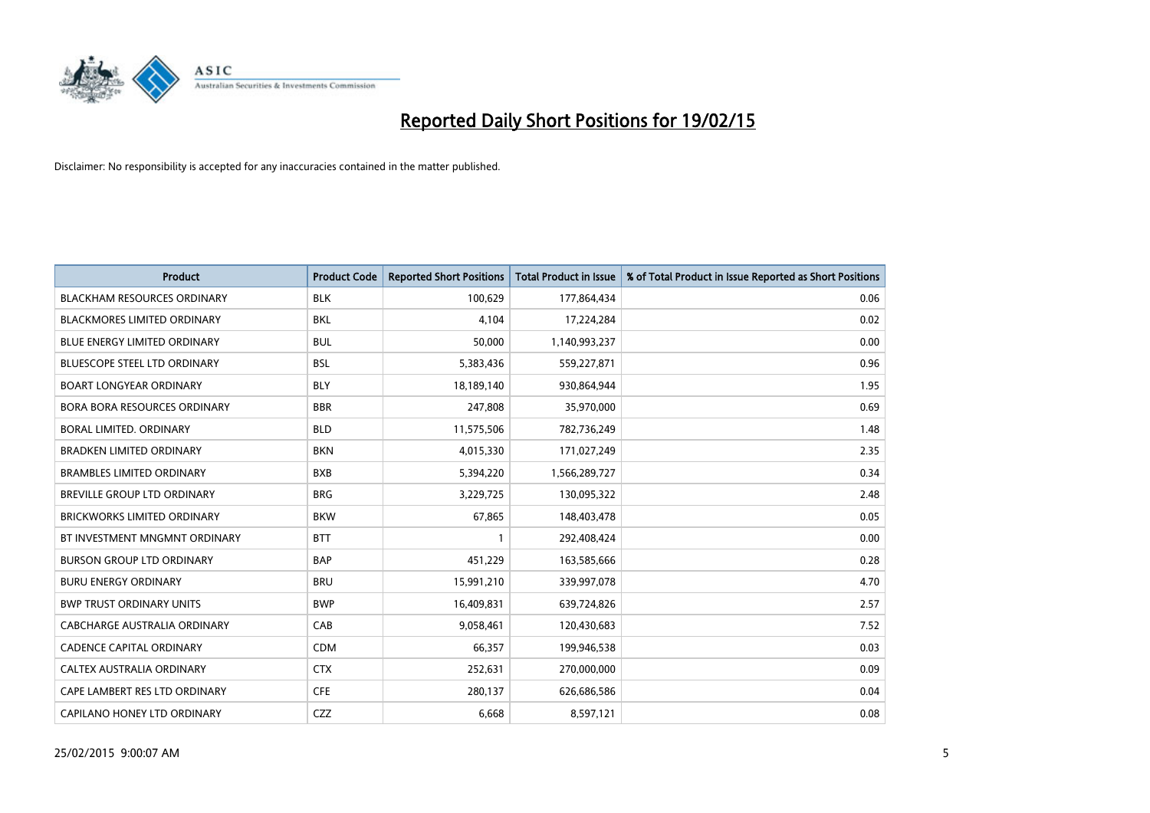

| <b>Product</b>                      | <b>Product Code</b> | <b>Reported Short Positions</b> | <b>Total Product in Issue</b> | % of Total Product in Issue Reported as Short Positions |
|-------------------------------------|---------------------|---------------------------------|-------------------------------|---------------------------------------------------------|
| <b>BLACKHAM RESOURCES ORDINARY</b>  | <b>BLK</b>          | 100,629                         | 177,864,434                   | 0.06                                                    |
| <b>BLACKMORES LIMITED ORDINARY</b>  | <b>BKL</b>          | 4,104                           | 17,224,284                    | 0.02                                                    |
| BLUE ENERGY LIMITED ORDINARY        | <b>BUL</b>          | 50,000                          | 1,140,993,237                 | 0.00                                                    |
| <b>BLUESCOPE STEEL LTD ORDINARY</b> | <b>BSL</b>          | 5,383,436                       | 559,227,871                   | 0.96                                                    |
| <b>BOART LONGYEAR ORDINARY</b>      | <b>BLY</b>          | 18,189,140                      | 930,864,944                   | 1.95                                                    |
| BORA BORA RESOURCES ORDINARY        | <b>BBR</b>          | 247,808                         | 35,970,000                    | 0.69                                                    |
| <b>BORAL LIMITED, ORDINARY</b>      | <b>BLD</b>          | 11,575,506                      | 782,736,249                   | 1.48                                                    |
| <b>BRADKEN LIMITED ORDINARY</b>     | <b>BKN</b>          | 4,015,330                       | 171,027,249                   | 2.35                                                    |
| <b>BRAMBLES LIMITED ORDINARY</b>    | <b>BXB</b>          | 5,394,220                       | 1,566,289,727                 | 0.34                                                    |
| <b>BREVILLE GROUP LTD ORDINARY</b>  | <b>BRG</b>          | 3,229,725                       | 130,095,322                   | 2.48                                                    |
| <b>BRICKWORKS LIMITED ORDINARY</b>  | <b>BKW</b>          | 67,865                          | 148,403,478                   | 0.05                                                    |
| BT INVESTMENT MNGMNT ORDINARY       | <b>BTT</b>          | 1                               | 292,408,424                   | 0.00                                                    |
| <b>BURSON GROUP LTD ORDINARY</b>    | <b>BAP</b>          | 451,229                         | 163,585,666                   | 0.28                                                    |
| <b>BURU ENERGY ORDINARY</b>         | <b>BRU</b>          | 15,991,210                      | 339,997,078                   | 4.70                                                    |
| <b>BWP TRUST ORDINARY UNITS</b>     | <b>BWP</b>          | 16,409,831                      | 639,724,826                   | 2.57                                                    |
| CABCHARGE AUSTRALIA ORDINARY        | CAB                 | 9,058,461                       | 120,430,683                   | 7.52                                                    |
| <b>CADENCE CAPITAL ORDINARY</b>     | <b>CDM</b>          | 66,357                          | 199,946,538                   | 0.03                                                    |
| CALTEX AUSTRALIA ORDINARY           | <b>CTX</b>          | 252,631                         | 270,000,000                   | 0.09                                                    |
| CAPE LAMBERT RES LTD ORDINARY       | <b>CFE</b>          | 280,137                         | 626,686,586                   | 0.04                                                    |
| CAPILANO HONEY LTD ORDINARY         | <b>CZZ</b>          | 6,668                           | 8,597,121                     | 0.08                                                    |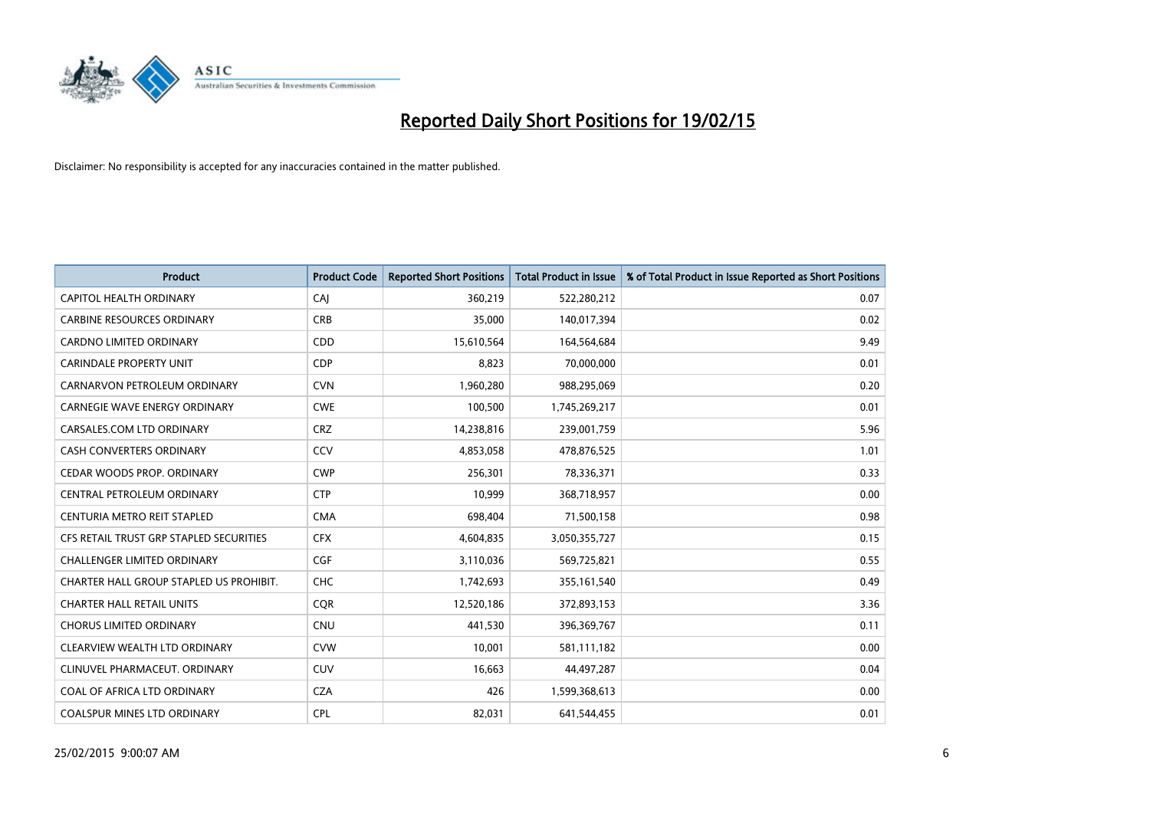

| <b>Product</b>                          | <b>Product Code</b> | <b>Reported Short Positions</b> | <b>Total Product in Issue</b> | % of Total Product in Issue Reported as Short Positions |
|-----------------------------------------|---------------------|---------------------------------|-------------------------------|---------------------------------------------------------|
| <b>CAPITOL HEALTH ORDINARY</b>          | CAJ                 | 360,219                         | 522,280,212                   | 0.07                                                    |
| <b>CARBINE RESOURCES ORDINARY</b>       | <b>CRB</b>          | 35,000                          | 140,017,394                   | 0.02                                                    |
| <b>CARDNO LIMITED ORDINARY</b>          | CDD                 | 15,610,564                      | 164,564,684                   | 9.49                                                    |
| CARINDALE PROPERTY UNIT                 | <b>CDP</b>          | 8,823                           | 70,000,000                    | 0.01                                                    |
| CARNARVON PETROLEUM ORDINARY            | <b>CVN</b>          | 1,960,280                       | 988,295,069                   | 0.20                                                    |
| <b>CARNEGIE WAVE ENERGY ORDINARY</b>    | <b>CWE</b>          | 100,500                         | 1,745,269,217                 | 0.01                                                    |
| CARSALES.COM LTD ORDINARY               | <b>CRZ</b>          | 14,238,816                      | 239,001,759                   | 5.96                                                    |
| CASH CONVERTERS ORDINARY                | CCV                 | 4,853,058                       | 478,876,525                   | 1.01                                                    |
| CEDAR WOODS PROP. ORDINARY              | <b>CWP</b>          | 256,301                         | 78,336,371                    | 0.33                                                    |
| CENTRAL PETROLEUM ORDINARY              | <b>CTP</b>          | 10,999                          | 368,718,957                   | 0.00                                                    |
| CENTURIA METRO REIT STAPLED             | <b>CMA</b>          | 698,404                         | 71,500,158                    | 0.98                                                    |
| CFS RETAIL TRUST GRP STAPLED SECURITIES | <b>CFX</b>          | 4,604,835                       | 3,050,355,727                 | 0.15                                                    |
| <b>CHALLENGER LIMITED ORDINARY</b>      | <b>CGF</b>          | 3,110,036                       | 569,725,821                   | 0.55                                                    |
| CHARTER HALL GROUP STAPLED US PROHIBIT. | <b>CHC</b>          | 1,742,693                       | 355,161,540                   | 0.49                                                    |
| <b>CHARTER HALL RETAIL UNITS</b>        | CQR                 | 12,520,186                      | 372,893,153                   | 3.36                                                    |
| <b>CHORUS LIMITED ORDINARY</b>          | <b>CNU</b>          | 441,530                         | 396,369,767                   | 0.11                                                    |
| CLEARVIEW WEALTH LTD ORDINARY           | <b>CVW</b>          | 10,001                          | 581,111,182                   | 0.00                                                    |
| CLINUVEL PHARMACEUT. ORDINARY           | <b>CUV</b>          | 16,663                          | 44,497,287                    | 0.04                                                    |
| COAL OF AFRICA LTD ORDINARY             | <b>CZA</b>          | 426                             | 1,599,368,613                 | 0.00                                                    |
| COALSPUR MINES LTD ORDINARY             | <b>CPL</b>          | 82,031                          | 641,544,455                   | 0.01                                                    |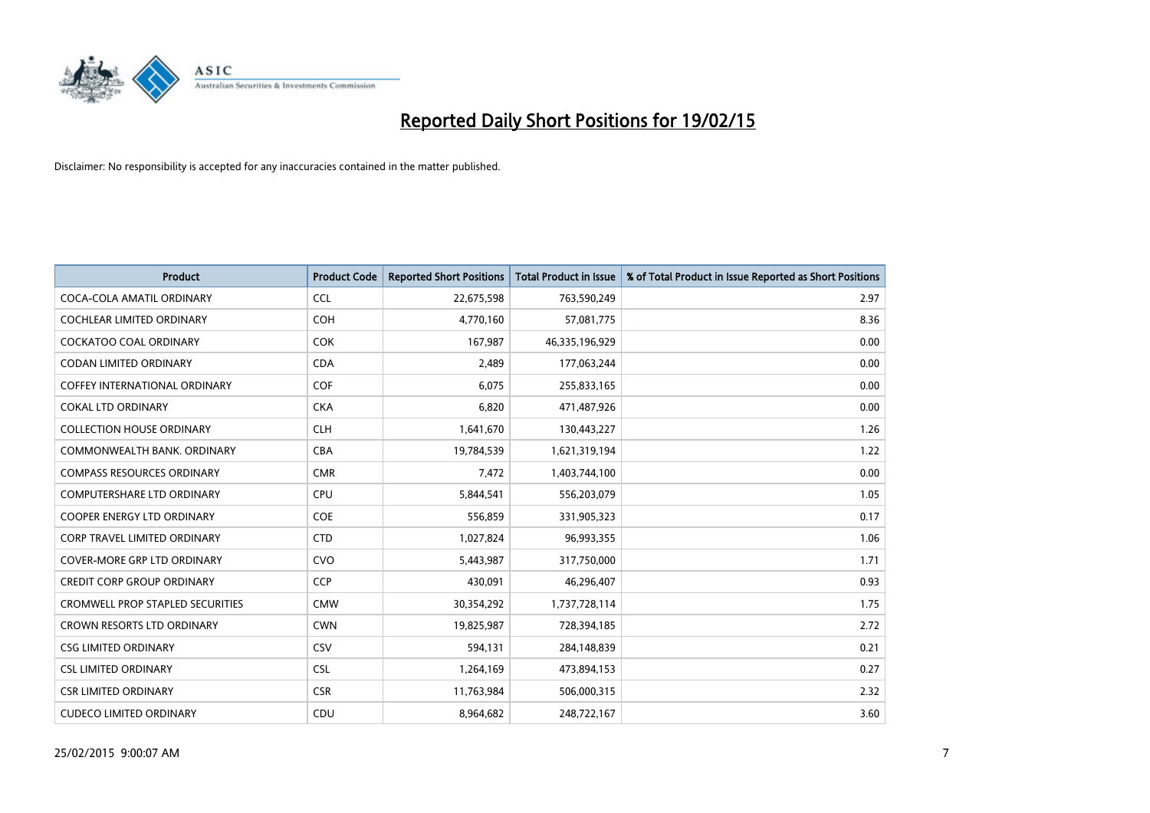

| <b>Product</b>                          | <b>Product Code</b> | <b>Reported Short Positions</b> | <b>Total Product in Issue</b> | % of Total Product in Issue Reported as Short Positions |
|-----------------------------------------|---------------------|---------------------------------|-------------------------------|---------------------------------------------------------|
| COCA-COLA AMATIL ORDINARY               | <b>CCL</b>          | 22,675,598                      | 763,590,249                   | 2.97                                                    |
| COCHLEAR LIMITED ORDINARY               | <b>COH</b>          | 4,770,160                       | 57,081,775                    | 8.36                                                    |
| <b>COCKATOO COAL ORDINARY</b>           | <b>COK</b>          | 167,987                         | 46,335,196,929                | 0.00                                                    |
| <b>CODAN LIMITED ORDINARY</b>           | <b>CDA</b>          | 2,489                           | 177,063,244                   | 0.00                                                    |
| COFFEY INTERNATIONAL ORDINARY           | <b>COF</b>          | 6,075                           | 255,833,165                   | 0.00                                                    |
| <b>COKAL LTD ORDINARY</b>               | <b>CKA</b>          | 6,820                           | 471,487,926                   | 0.00                                                    |
| <b>COLLECTION HOUSE ORDINARY</b>        | <b>CLH</b>          | 1,641,670                       | 130,443,227                   | 1.26                                                    |
| COMMONWEALTH BANK, ORDINARY             | <b>CBA</b>          | 19,784,539                      | 1,621,319,194                 | 1.22                                                    |
| <b>COMPASS RESOURCES ORDINARY</b>       | <b>CMR</b>          | 7,472                           | 1,403,744,100                 | 0.00                                                    |
| <b>COMPUTERSHARE LTD ORDINARY</b>       | <b>CPU</b>          | 5,844,541                       | 556,203,079                   | 1.05                                                    |
| COOPER ENERGY LTD ORDINARY              | <b>COE</b>          | 556,859                         | 331,905,323                   | 0.17                                                    |
| <b>CORP TRAVEL LIMITED ORDINARY</b>     | <b>CTD</b>          | 1,027,824                       | 96,993,355                    | 1.06                                                    |
| <b>COVER-MORE GRP LTD ORDINARY</b>      | <b>CVO</b>          | 5,443,987                       | 317,750,000                   | 1.71                                                    |
| <b>CREDIT CORP GROUP ORDINARY</b>       | <b>CCP</b>          | 430,091                         | 46,296,407                    | 0.93                                                    |
| <b>CROMWELL PROP STAPLED SECURITIES</b> | <b>CMW</b>          | 30,354,292                      | 1,737,728,114                 | 1.75                                                    |
| CROWN RESORTS LTD ORDINARY              | <b>CWN</b>          | 19,825,987                      | 728,394,185                   | 2.72                                                    |
| <b>CSG LIMITED ORDINARY</b>             | CSV                 | 594,131                         | 284,148,839                   | 0.21                                                    |
| <b>CSL LIMITED ORDINARY</b>             | <b>CSL</b>          | 1,264,169                       | 473,894,153                   | 0.27                                                    |
| <b>CSR LIMITED ORDINARY</b>             | <b>CSR</b>          | 11,763,984                      | 506,000,315                   | 2.32                                                    |
| <b>CUDECO LIMITED ORDINARY</b>          | CDU                 | 8,964,682                       | 248,722,167                   | 3.60                                                    |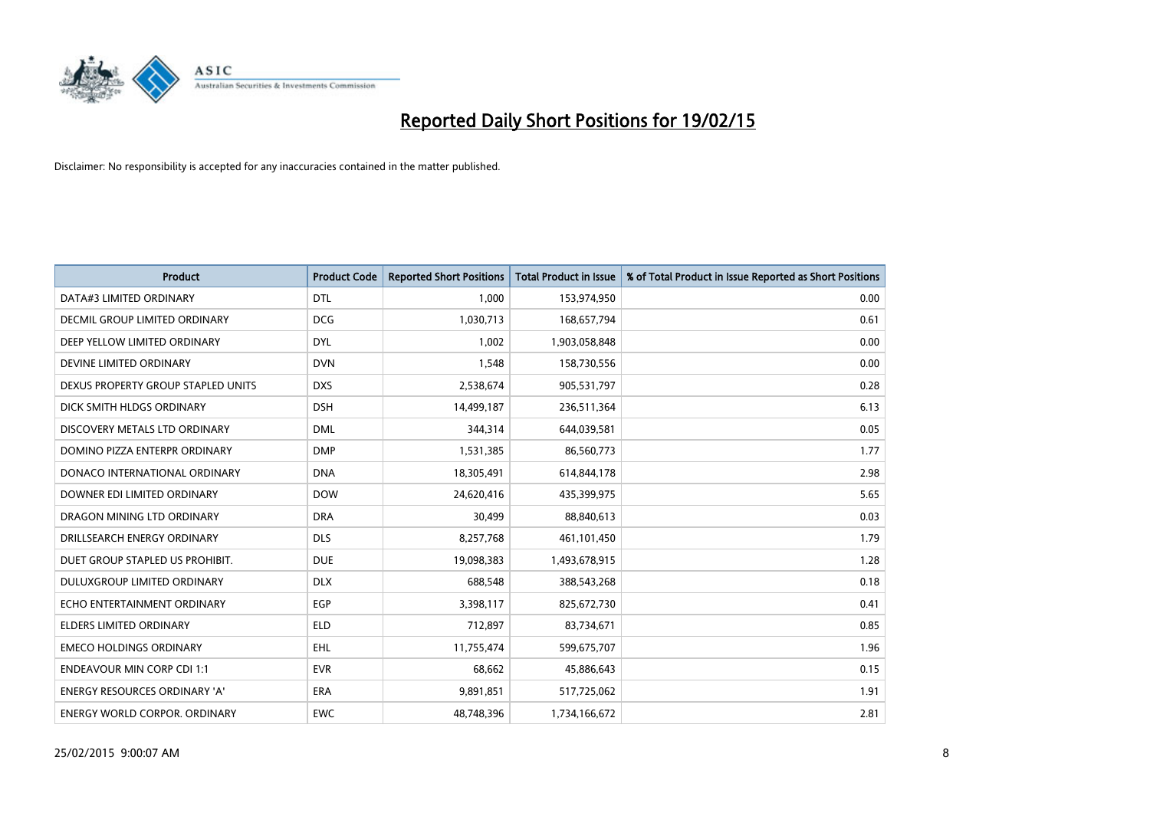

| <b>Product</b>                       | <b>Product Code</b> | <b>Reported Short Positions</b> | <b>Total Product in Issue</b> | % of Total Product in Issue Reported as Short Positions |
|--------------------------------------|---------------------|---------------------------------|-------------------------------|---------------------------------------------------------|
| DATA#3 LIMITED ORDINARY              | <b>DTL</b>          | 1.000                           | 153,974,950                   | 0.00                                                    |
| DECMIL GROUP LIMITED ORDINARY        | <b>DCG</b>          | 1,030,713                       | 168,657,794                   | 0.61                                                    |
| DEEP YELLOW LIMITED ORDINARY         | <b>DYL</b>          | 1,002                           | 1,903,058,848                 | 0.00                                                    |
| DEVINE LIMITED ORDINARY              | <b>DVN</b>          | 1,548                           | 158,730,556                   | 0.00                                                    |
| DEXUS PROPERTY GROUP STAPLED UNITS   | <b>DXS</b>          | 2,538,674                       | 905,531,797                   | 0.28                                                    |
| DICK SMITH HLDGS ORDINARY            | <b>DSH</b>          | 14,499,187                      | 236,511,364                   | 6.13                                                    |
| DISCOVERY METALS LTD ORDINARY        | <b>DML</b>          | 344,314                         | 644,039,581                   | 0.05                                                    |
| DOMINO PIZZA ENTERPR ORDINARY        | <b>DMP</b>          | 1,531,385                       | 86,560,773                    | 1.77                                                    |
| DONACO INTERNATIONAL ORDINARY        | <b>DNA</b>          | 18,305,491                      | 614,844,178                   | 2.98                                                    |
| DOWNER EDI LIMITED ORDINARY          | <b>DOW</b>          | 24,620,416                      | 435,399,975                   | 5.65                                                    |
| DRAGON MINING LTD ORDINARY           | <b>DRA</b>          | 30,499                          | 88,840,613                    | 0.03                                                    |
| DRILLSEARCH ENERGY ORDINARY          | <b>DLS</b>          | 8,257,768                       | 461,101,450                   | 1.79                                                    |
| DUET GROUP STAPLED US PROHIBIT.      | <b>DUE</b>          | 19,098,383                      | 1,493,678,915                 | 1.28                                                    |
| DULUXGROUP LIMITED ORDINARY          | <b>DLX</b>          | 688,548                         | 388,543,268                   | 0.18                                                    |
| ECHO ENTERTAINMENT ORDINARY          | <b>EGP</b>          | 3,398,117                       | 825,672,730                   | 0.41                                                    |
| <b>ELDERS LIMITED ORDINARY</b>       | <b>ELD</b>          | 712,897                         | 83,734,671                    | 0.85                                                    |
| <b>EMECO HOLDINGS ORDINARY</b>       | EHL                 | 11,755,474                      | 599,675,707                   | 1.96                                                    |
| <b>ENDEAVOUR MIN CORP CDI 1:1</b>    | <b>EVR</b>          | 68,662                          | 45,886,643                    | 0.15                                                    |
| <b>ENERGY RESOURCES ORDINARY 'A'</b> | <b>ERA</b>          | 9,891,851                       | 517,725,062                   | 1.91                                                    |
| ENERGY WORLD CORPOR. ORDINARY        | <b>EWC</b>          | 48,748,396                      | 1,734,166,672                 | 2.81                                                    |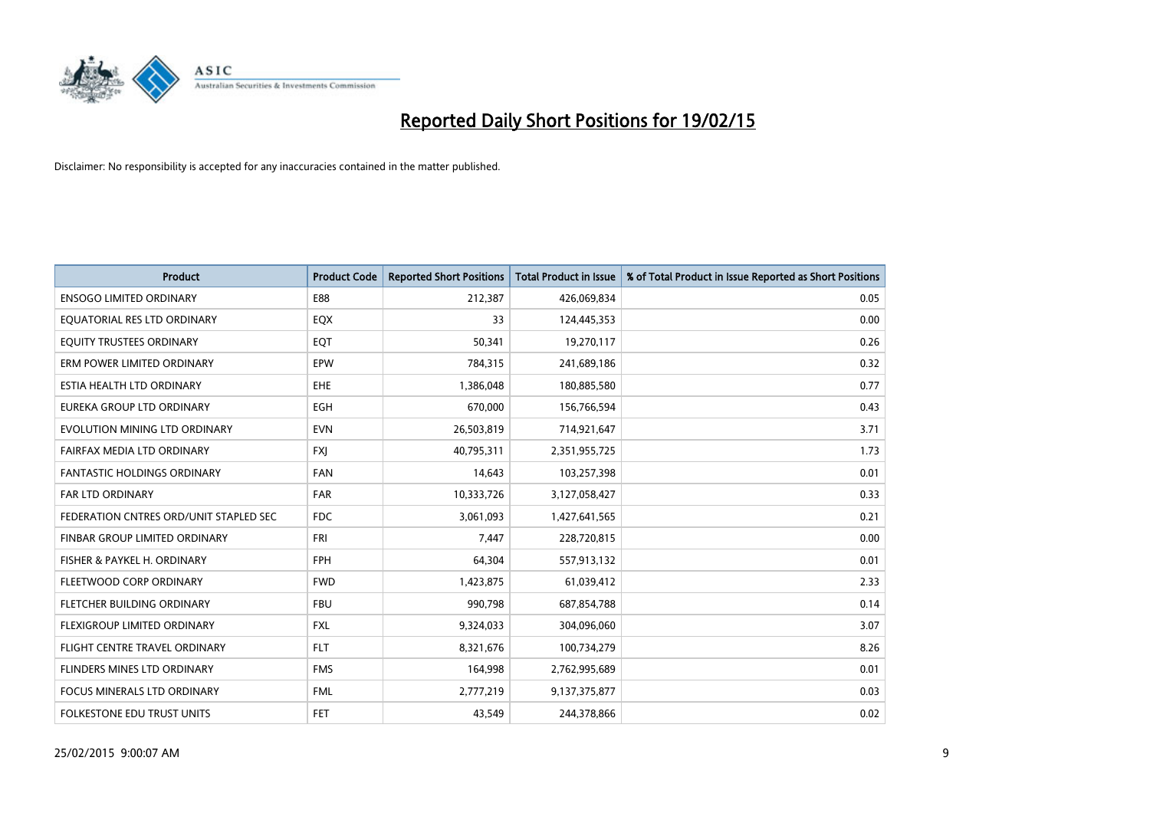

| <b>Product</b>                         | <b>Product Code</b> | <b>Reported Short Positions</b> | <b>Total Product in Issue</b> | % of Total Product in Issue Reported as Short Positions |
|----------------------------------------|---------------------|---------------------------------|-------------------------------|---------------------------------------------------------|
| <b>ENSOGO LIMITED ORDINARY</b>         | E88                 | 212,387                         | 426,069,834                   | 0.05                                                    |
| EQUATORIAL RES LTD ORDINARY            | EQX                 | 33                              | 124,445,353                   | 0.00                                                    |
| EQUITY TRUSTEES ORDINARY               | EQT                 | 50,341                          | 19,270,117                    | 0.26                                                    |
| ERM POWER LIMITED ORDINARY             | EPW                 | 784,315                         | 241,689,186                   | 0.32                                                    |
| ESTIA HEALTH LTD ORDINARY              | <b>EHE</b>          | 1,386,048                       | 180,885,580                   | 0.77                                                    |
| EUREKA GROUP LTD ORDINARY              | EGH                 | 670,000                         | 156,766,594                   | 0.43                                                    |
| EVOLUTION MINING LTD ORDINARY          | <b>EVN</b>          | 26,503,819                      | 714,921,647                   | 3.71                                                    |
| FAIRFAX MEDIA LTD ORDINARY             | <b>FXI</b>          | 40,795,311                      | 2,351,955,725                 | 1.73                                                    |
| <b>FANTASTIC HOLDINGS ORDINARY</b>     | <b>FAN</b>          | 14,643                          | 103,257,398                   | 0.01                                                    |
| FAR LTD ORDINARY                       | FAR                 | 10,333,726                      | 3,127,058,427                 | 0.33                                                    |
| FEDERATION CNTRES ORD/UNIT STAPLED SEC | <b>FDC</b>          | 3,061,093                       | 1,427,641,565                 | 0.21                                                    |
| FINBAR GROUP LIMITED ORDINARY          | <b>FRI</b>          | 7,447                           | 228,720,815                   | 0.00                                                    |
| FISHER & PAYKEL H. ORDINARY            | <b>FPH</b>          | 64,304                          | 557,913,132                   | 0.01                                                    |
| FLEETWOOD CORP ORDINARY                | <b>FWD</b>          | 1,423,875                       | 61,039,412                    | 2.33                                                    |
| FLETCHER BUILDING ORDINARY             | <b>FBU</b>          | 990,798                         | 687,854,788                   | 0.14                                                    |
| FLEXIGROUP LIMITED ORDINARY            | <b>FXL</b>          | 9,324,033                       | 304,096,060                   | 3.07                                                    |
| FLIGHT CENTRE TRAVEL ORDINARY          | <b>FLT</b>          | 8,321,676                       | 100,734,279                   | 8.26                                                    |
| FLINDERS MINES LTD ORDINARY            | <b>FMS</b>          | 164,998                         | 2,762,995,689                 | 0.01                                                    |
| <b>FOCUS MINERALS LTD ORDINARY</b>     | <b>FML</b>          | 2,777,219                       | 9,137,375,877                 | 0.03                                                    |
| FOLKESTONE EDU TRUST UNITS             | <b>FET</b>          | 43,549                          | 244,378,866                   | 0.02                                                    |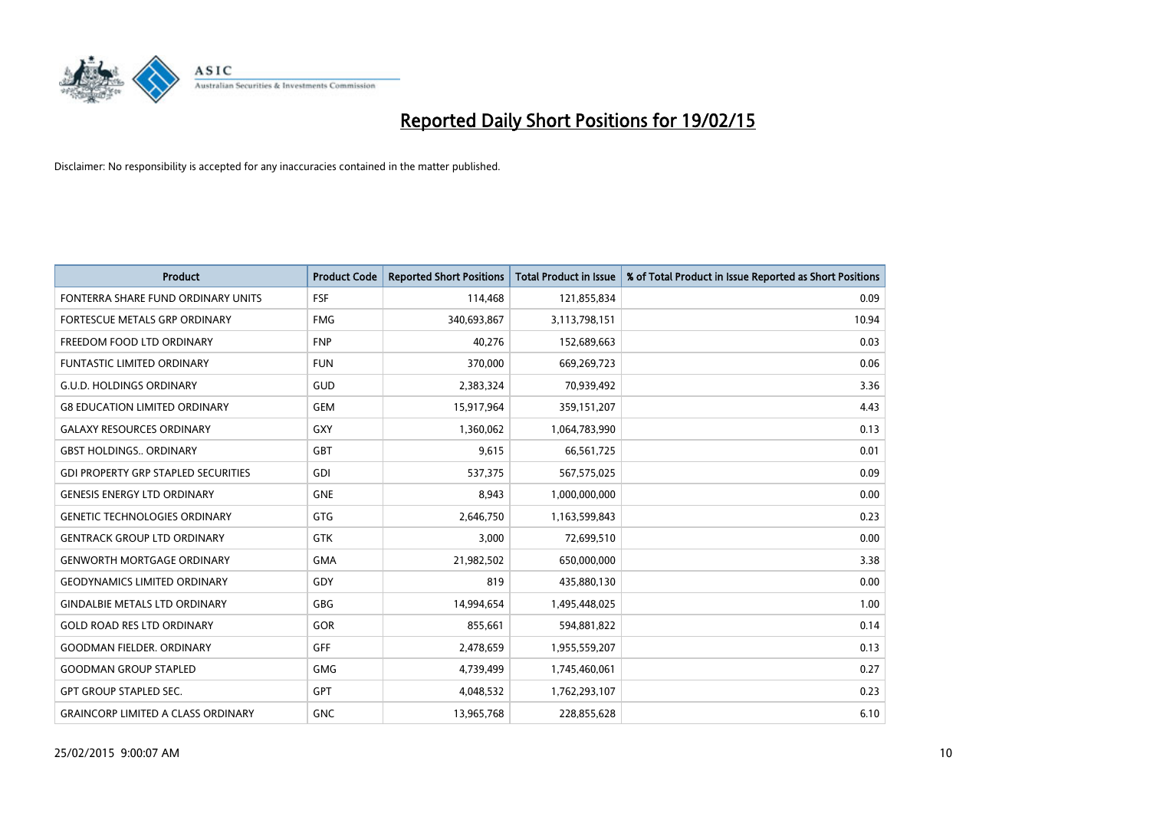

| <b>Product</b>                             | <b>Product Code</b> | <b>Reported Short Positions</b> | <b>Total Product in Issue</b> | % of Total Product in Issue Reported as Short Positions |
|--------------------------------------------|---------------------|---------------------------------|-------------------------------|---------------------------------------------------------|
| FONTERRA SHARE FUND ORDINARY UNITS         | <b>FSF</b>          | 114,468                         | 121,855,834                   | 0.09                                                    |
| FORTESCUE METALS GRP ORDINARY              | <b>FMG</b>          | 340,693,867                     | 3,113,798,151                 | 10.94                                                   |
| FREEDOM FOOD LTD ORDINARY                  | <b>FNP</b>          | 40,276                          | 152,689,663                   | 0.03                                                    |
| <b>FUNTASTIC LIMITED ORDINARY</b>          | <b>FUN</b>          | 370,000                         | 669,269,723                   | 0.06                                                    |
| <b>G.U.D. HOLDINGS ORDINARY</b>            | GUD                 | 2,383,324                       | 70,939,492                    | 3.36                                                    |
| <b>G8 EDUCATION LIMITED ORDINARY</b>       | <b>GEM</b>          | 15,917,964                      | 359,151,207                   | 4.43                                                    |
| <b>GALAXY RESOURCES ORDINARY</b>           | GXY                 | 1,360,062                       | 1,064,783,990                 | 0.13                                                    |
| <b>GBST HOLDINGS ORDINARY</b>              | <b>GBT</b>          | 9,615                           | 66,561,725                    | 0.01                                                    |
| <b>GDI PROPERTY GRP STAPLED SECURITIES</b> | GDI                 | 537,375                         | 567,575,025                   | 0.09                                                    |
| <b>GENESIS ENERGY LTD ORDINARY</b>         | <b>GNE</b>          | 8,943                           | 1,000,000,000                 | 0.00                                                    |
| <b>GENETIC TECHNOLOGIES ORDINARY</b>       | <b>GTG</b>          | 2,646,750                       | 1,163,599,843                 | 0.23                                                    |
| <b>GENTRACK GROUP LTD ORDINARY</b>         | <b>GTK</b>          | 3,000                           | 72,699,510                    | 0.00                                                    |
| <b>GENWORTH MORTGAGE ORDINARY</b>          | <b>GMA</b>          | 21,982,502                      | 650,000,000                   | 3.38                                                    |
| <b>GEODYNAMICS LIMITED ORDINARY</b>        | GDY                 | 819                             | 435,880,130                   | 0.00                                                    |
| <b>GINDALBIE METALS LTD ORDINARY</b>       | GBG                 | 14,994,654                      | 1,495,448,025                 | 1.00                                                    |
| <b>GOLD ROAD RES LTD ORDINARY</b>          | GOR                 | 855,661                         | 594,881,822                   | 0.14                                                    |
| <b>GOODMAN FIELDER. ORDINARY</b>           | GFF                 | 2,478,659                       | 1,955,559,207                 | 0.13                                                    |
| <b>GOODMAN GROUP STAPLED</b>               | <b>GMG</b>          | 4,739,499                       | 1,745,460,061                 | 0.27                                                    |
| <b>GPT GROUP STAPLED SEC.</b>              | GPT                 | 4,048,532                       | 1,762,293,107                 | 0.23                                                    |
| <b>GRAINCORP LIMITED A CLASS ORDINARY</b>  | <b>GNC</b>          | 13,965,768                      | 228,855,628                   | 6.10                                                    |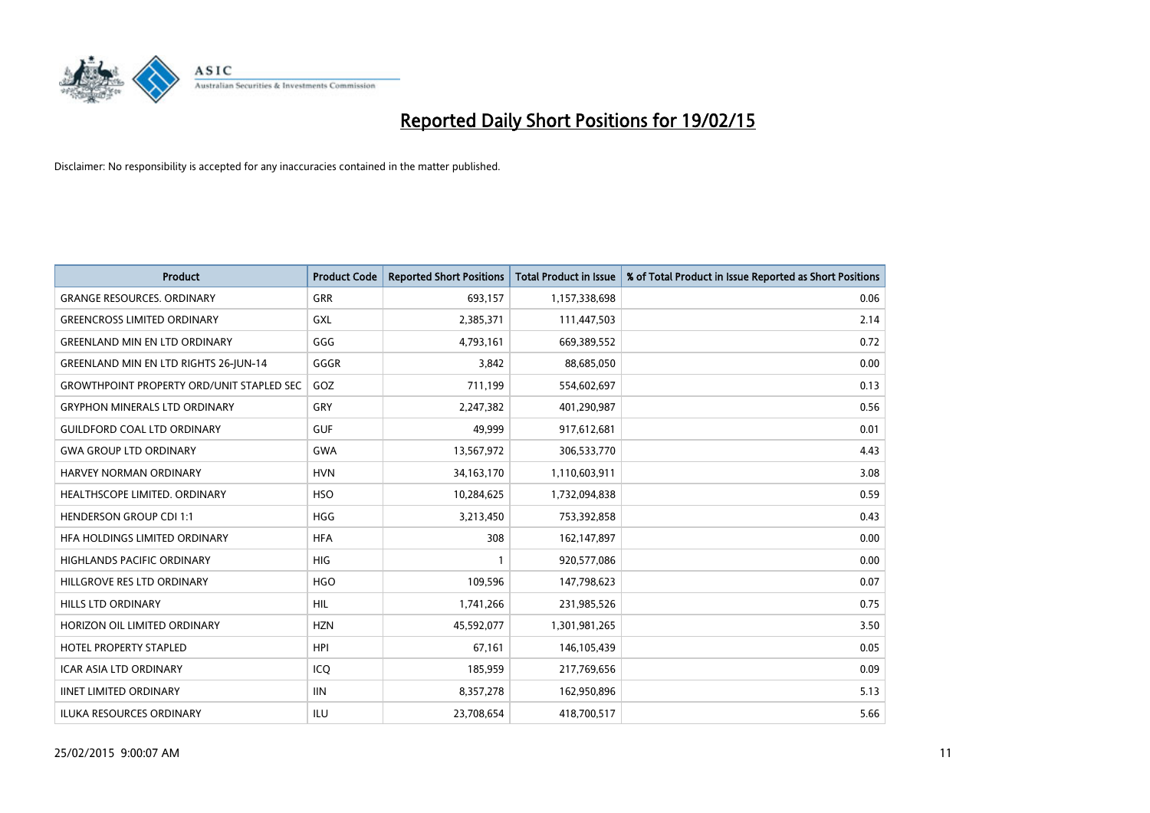

| <b>Product</b>                                   | <b>Product Code</b> | <b>Reported Short Positions</b> | <b>Total Product in Issue</b> | % of Total Product in Issue Reported as Short Positions |
|--------------------------------------------------|---------------------|---------------------------------|-------------------------------|---------------------------------------------------------|
| <b>GRANGE RESOURCES, ORDINARY</b>                | GRR                 | 693,157                         | 1,157,338,698                 | 0.06                                                    |
| <b>GREENCROSS LIMITED ORDINARY</b>               | <b>GXL</b>          | 2,385,371                       | 111,447,503                   | 2.14                                                    |
| <b>GREENLAND MIN EN LTD ORDINARY</b>             | GGG                 | 4,793,161                       | 669,389,552                   | 0.72                                                    |
| <b>GREENLAND MIN EN LTD RIGHTS 26-JUN-14</b>     | GGGR                | 3,842                           | 88,685,050                    | 0.00                                                    |
| <b>GROWTHPOINT PROPERTY ORD/UNIT STAPLED SEC</b> | GOZ                 | 711,199                         | 554,602,697                   | 0.13                                                    |
| <b>GRYPHON MINERALS LTD ORDINARY</b>             | GRY                 | 2,247,382                       | 401,290,987                   | 0.56                                                    |
| <b>GUILDFORD COAL LTD ORDINARY</b>               | <b>GUF</b>          | 49.999                          | 917,612,681                   | 0.01                                                    |
| <b>GWA GROUP LTD ORDINARY</b>                    | <b>GWA</b>          | 13,567,972                      | 306,533,770                   | 4.43                                                    |
| <b>HARVEY NORMAN ORDINARY</b>                    | <b>HVN</b>          | 34, 163, 170                    | 1,110,603,911                 | 3.08                                                    |
| HEALTHSCOPE LIMITED. ORDINARY                    | <b>HSO</b>          | 10,284,625                      | 1,732,094,838                 | 0.59                                                    |
| <b>HENDERSON GROUP CDI 1:1</b>                   | <b>HGG</b>          | 3,213,450                       | 753,392,858                   | 0.43                                                    |
| HFA HOLDINGS LIMITED ORDINARY                    | <b>HFA</b>          | 308                             | 162,147,897                   | 0.00                                                    |
| <b>HIGHLANDS PACIFIC ORDINARY</b>                | <b>HIG</b>          | 1                               | 920,577,086                   | 0.00                                                    |
| HILLGROVE RES LTD ORDINARY                       | <b>HGO</b>          | 109,596                         | 147,798,623                   | 0.07                                                    |
| <b>HILLS LTD ORDINARY</b>                        | <b>HIL</b>          | 1,741,266                       | 231,985,526                   | 0.75                                                    |
| HORIZON OIL LIMITED ORDINARY                     | <b>HZN</b>          | 45,592,077                      | 1,301,981,265                 | 3.50                                                    |
| <b>HOTEL PROPERTY STAPLED</b>                    | <b>HPI</b>          | 67,161                          | 146,105,439                   | 0.05                                                    |
| ICAR ASIA LTD ORDINARY                           | ICQ                 | 185,959                         | 217,769,656                   | 0.09                                                    |
| <b>IINET LIMITED ORDINARY</b>                    | <b>IIN</b>          | 8,357,278                       | 162,950,896                   | 5.13                                                    |
| <b>ILUKA RESOURCES ORDINARY</b>                  | ILU                 | 23,708,654                      | 418,700,517                   | 5.66                                                    |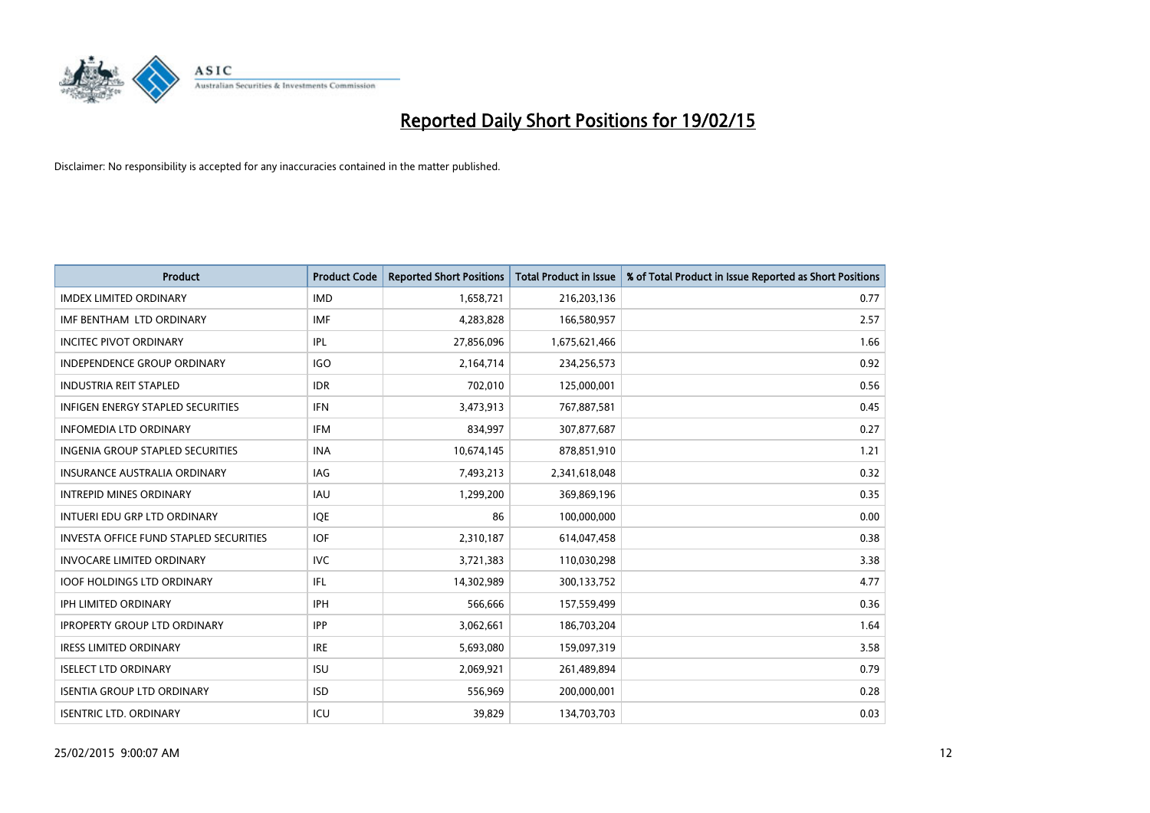

| <b>Product</b>                                | <b>Product Code</b> | <b>Reported Short Positions</b> | <b>Total Product in Issue</b> | % of Total Product in Issue Reported as Short Positions |
|-----------------------------------------------|---------------------|---------------------------------|-------------------------------|---------------------------------------------------------|
| <b>IMDEX LIMITED ORDINARY</b>                 | <b>IMD</b>          | 1,658,721                       | 216,203,136                   | 0.77                                                    |
| IMF BENTHAM LTD ORDINARY                      | IMF                 | 4,283,828                       | 166,580,957                   | 2.57                                                    |
| <b>INCITEC PIVOT ORDINARY</b>                 | IPL                 | 27,856,096                      | 1,675,621,466                 | 1.66                                                    |
| INDEPENDENCE GROUP ORDINARY                   | <b>IGO</b>          | 2,164,714                       | 234,256,573                   | 0.92                                                    |
| <b>INDUSTRIA REIT STAPLED</b>                 | <b>IDR</b>          | 702,010                         | 125,000,001                   | 0.56                                                    |
| <b>INFIGEN ENERGY STAPLED SECURITIES</b>      | <b>IFN</b>          | 3,473,913                       | 767,887,581                   | 0.45                                                    |
| <b>INFOMEDIA LTD ORDINARY</b>                 | <b>IFM</b>          | 834,997                         | 307,877,687                   | 0.27                                                    |
| <b>INGENIA GROUP STAPLED SECURITIES</b>       | <b>INA</b>          | 10,674,145                      | 878,851,910                   | 1.21                                                    |
| INSURANCE AUSTRALIA ORDINARY                  | IAG                 | 7,493,213                       | 2,341,618,048                 | 0.32                                                    |
| <b>INTREPID MINES ORDINARY</b>                | <b>IAU</b>          | 1,299,200                       | 369,869,196                   | 0.35                                                    |
| INTUERI EDU GRP LTD ORDINARY                  | IQE                 | 86                              | 100,000,000                   | 0.00                                                    |
| <b>INVESTA OFFICE FUND STAPLED SECURITIES</b> | <b>IOF</b>          | 2,310,187                       | 614,047,458                   | 0.38                                                    |
| <b>INVOCARE LIMITED ORDINARY</b>              | <b>IVC</b>          | 3,721,383                       | 110,030,298                   | 3.38                                                    |
| <b>IOOF HOLDINGS LTD ORDINARY</b>             | IFL                 | 14,302,989                      | 300,133,752                   | 4.77                                                    |
| <b>IPH LIMITED ORDINARY</b>                   | <b>IPH</b>          | 566,666                         | 157,559,499                   | 0.36                                                    |
| <b>IPROPERTY GROUP LTD ORDINARY</b>           | <b>IPP</b>          | 3,062,661                       | 186,703,204                   | 1.64                                                    |
| <b>IRESS LIMITED ORDINARY</b>                 | <b>IRE</b>          | 5,693,080                       | 159,097,319                   | 3.58                                                    |
| <b>ISELECT LTD ORDINARY</b>                   | <b>ISU</b>          | 2,069,921                       | 261,489,894                   | 0.79                                                    |
| <b>ISENTIA GROUP LTD ORDINARY</b>             | <b>ISD</b>          | 556,969                         | 200,000,001                   | 0.28                                                    |
| <b>ISENTRIC LTD. ORDINARY</b>                 | ICU                 | 39,829                          | 134,703,703                   | 0.03                                                    |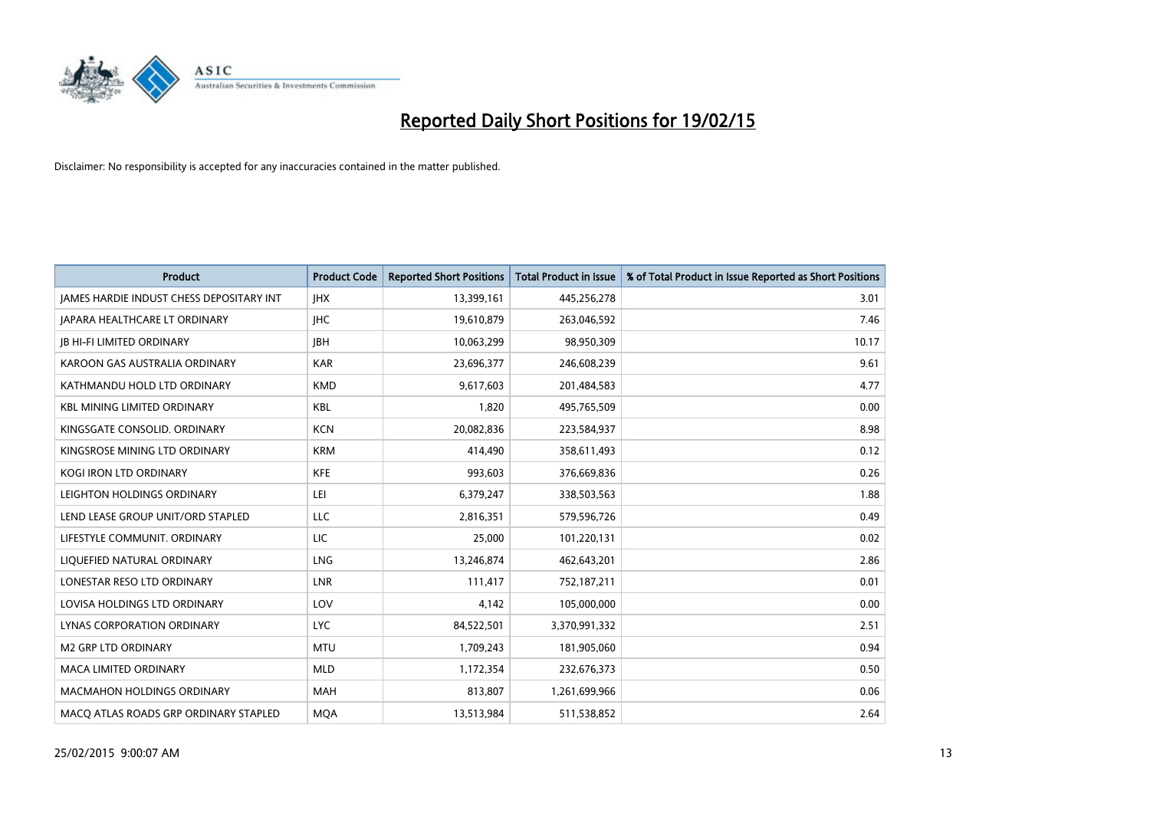

| <b>Product</b>                                  | <b>Product Code</b> | <b>Reported Short Positions</b> | <b>Total Product in Issue</b> | % of Total Product in Issue Reported as Short Positions |
|-------------------------------------------------|---------------------|---------------------------------|-------------------------------|---------------------------------------------------------|
| <b>JAMES HARDIE INDUST CHESS DEPOSITARY INT</b> | <b>IHX</b>          | 13,399,161                      | 445,256,278                   | 3.01                                                    |
| <b>JAPARA HEALTHCARE LT ORDINARY</b>            | <b>IHC</b>          | 19,610,879                      | 263,046,592                   | 7.46                                                    |
| <b>JB HI-FI LIMITED ORDINARY</b>                | <b>JBH</b>          | 10,063,299                      | 98,950,309                    | 10.17                                                   |
| KAROON GAS AUSTRALIA ORDINARY                   | <b>KAR</b>          | 23,696,377                      | 246,608,239                   | 9.61                                                    |
| KATHMANDU HOLD LTD ORDINARY                     | <b>KMD</b>          | 9,617,603                       | 201,484,583                   | 4.77                                                    |
| <b>KBL MINING LIMITED ORDINARY</b>              | <b>KBL</b>          | 1,820                           | 495,765,509                   | 0.00                                                    |
| KINGSGATE CONSOLID. ORDINARY                    | <b>KCN</b>          | 20,082,836                      | 223,584,937                   | 8.98                                                    |
| KINGSROSE MINING LTD ORDINARY                   | <b>KRM</b>          | 414,490                         | 358,611,493                   | 0.12                                                    |
| KOGI IRON LTD ORDINARY                          | KFE                 | 993,603                         | 376,669,836                   | 0.26                                                    |
| LEIGHTON HOLDINGS ORDINARY                      | LEI                 | 6,379,247                       | 338,503,563                   | 1.88                                                    |
| LEND LEASE GROUP UNIT/ORD STAPLED               | LLC                 | 2,816,351                       | 579,596,726                   | 0.49                                                    |
| LIFESTYLE COMMUNIT, ORDINARY                    | <b>LIC</b>          | 25,000                          | 101,220,131                   | 0.02                                                    |
| LIQUEFIED NATURAL ORDINARY                      | <b>LNG</b>          | 13,246,874                      | 462,643,201                   | 2.86                                                    |
| LONESTAR RESO LTD ORDINARY                      | <b>LNR</b>          | 111,417                         | 752,187,211                   | 0.01                                                    |
| LOVISA HOLDINGS LTD ORDINARY                    | LOV                 | 4,142                           | 105,000,000                   | 0.00                                                    |
| LYNAS CORPORATION ORDINARY                      | <b>LYC</b>          | 84,522,501                      | 3,370,991,332                 | 2.51                                                    |
| <b>M2 GRP LTD ORDINARY</b>                      | <b>MTU</b>          | 1,709,243                       | 181,905,060                   | 0.94                                                    |
| <b>MACA LIMITED ORDINARY</b>                    | <b>MLD</b>          | 1,172,354                       | 232,676,373                   | 0.50                                                    |
| <b>MACMAHON HOLDINGS ORDINARY</b>               | <b>MAH</b>          | 813,807                         | 1,261,699,966                 | 0.06                                                    |
| MACO ATLAS ROADS GRP ORDINARY STAPLED           | <b>MOA</b>          | 13,513,984                      | 511,538,852                   | 2.64                                                    |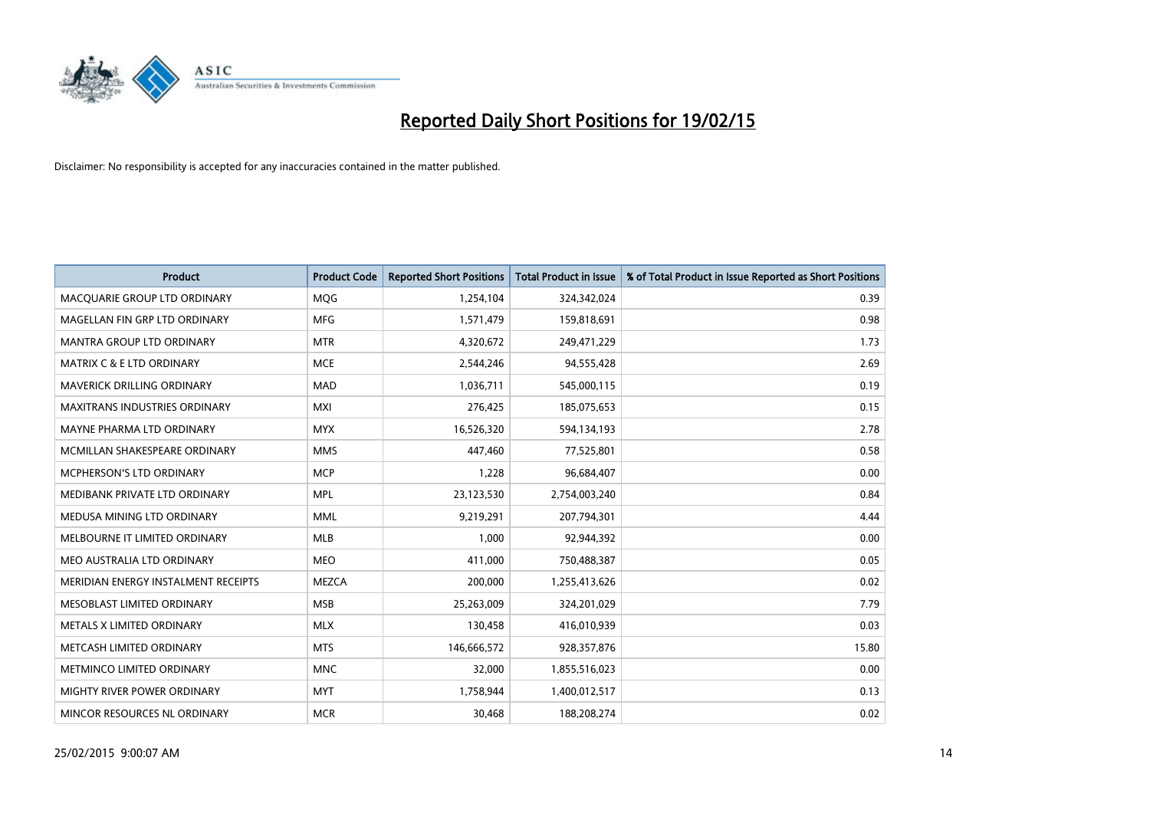

| <b>Product</b>                       | <b>Product Code</b> | <b>Reported Short Positions</b> | <b>Total Product in Issue</b> | % of Total Product in Issue Reported as Short Positions |
|--------------------------------------|---------------------|---------------------------------|-------------------------------|---------------------------------------------------------|
| MACQUARIE GROUP LTD ORDINARY         | MQG                 | 1,254,104                       | 324,342,024                   | 0.39                                                    |
| MAGELLAN FIN GRP LTD ORDINARY        | <b>MFG</b>          | 1,571,479                       | 159,818,691                   | 0.98                                                    |
| <b>MANTRA GROUP LTD ORDINARY</b>     | <b>MTR</b>          | 4,320,672                       | 249,471,229                   | 1.73                                                    |
| <b>MATRIX C &amp; E LTD ORDINARY</b> | <b>MCE</b>          | 2,544,246                       | 94,555,428                    | 2.69                                                    |
| <b>MAVERICK DRILLING ORDINARY</b>    | <b>MAD</b>          | 1,036,711                       | 545,000,115                   | 0.19                                                    |
| <b>MAXITRANS INDUSTRIES ORDINARY</b> | <b>MXI</b>          | 276,425                         | 185,075,653                   | 0.15                                                    |
| MAYNE PHARMA LTD ORDINARY            | <b>MYX</b>          | 16,526,320                      | 594,134,193                   | 2.78                                                    |
| MCMILLAN SHAKESPEARE ORDINARY        | <b>MMS</b>          | 447,460                         | 77,525,801                    | 0.58                                                    |
| <b>MCPHERSON'S LTD ORDINARY</b>      | <b>MCP</b>          | 1,228                           | 96,684,407                    | 0.00                                                    |
| MEDIBANK PRIVATE LTD ORDINARY        | <b>MPL</b>          | 23,123,530                      | 2,754,003,240                 | 0.84                                                    |
| MEDUSA MINING LTD ORDINARY           | <b>MML</b>          | 9,219,291                       | 207,794,301                   | 4.44                                                    |
| MELBOURNE IT LIMITED ORDINARY        | <b>MLB</b>          | 1,000                           | 92,944,392                    | 0.00                                                    |
| MEO AUSTRALIA LTD ORDINARY           | <b>MEO</b>          | 411,000                         | 750,488,387                   | 0.05                                                    |
| MERIDIAN ENERGY INSTALMENT RECEIPTS  | <b>MEZCA</b>        | 200,000                         | 1,255,413,626                 | 0.02                                                    |
| MESOBLAST LIMITED ORDINARY           | <b>MSB</b>          | 25,263,009                      | 324,201,029                   | 7.79                                                    |
| METALS X LIMITED ORDINARY            | <b>MLX</b>          | 130,458                         | 416,010,939                   | 0.03                                                    |
| METCASH LIMITED ORDINARY             | <b>MTS</b>          | 146,666,572                     | 928,357,876                   | 15.80                                                   |
| METMINCO LIMITED ORDINARY            | <b>MNC</b>          | 32,000                          | 1,855,516,023                 | 0.00                                                    |
| MIGHTY RIVER POWER ORDINARY          | <b>MYT</b>          | 1,758,944                       | 1,400,012,517                 | 0.13                                                    |
| MINCOR RESOURCES NL ORDINARY         | <b>MCR</b>          | 30,468                          | 188,208,274                   | 0.02                                                    |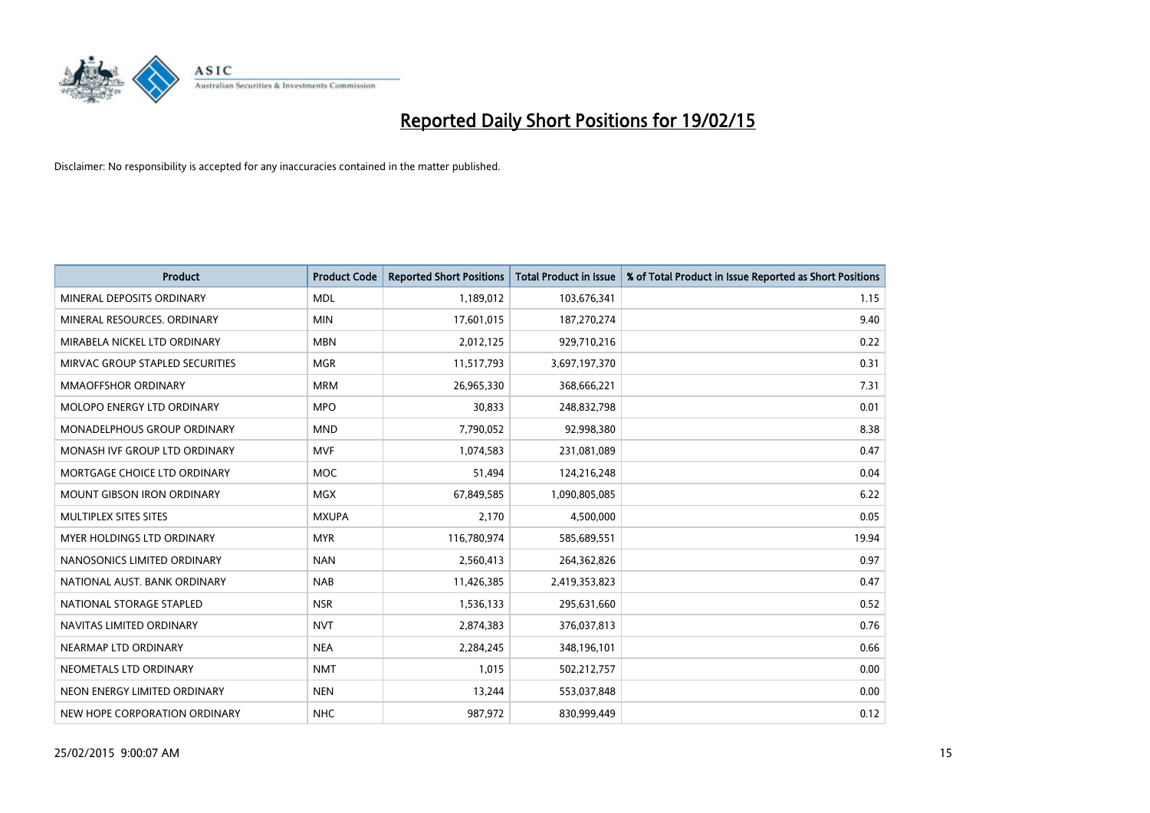

| <b>Product</b>                     | <b>Product Code</b> | <b>Reported Short Positions</b> | <b>Total Product in Issue</b> | % of Total Product in Issue Reported as Short Positions |
|------------------------------------|---------------------|---------------------------------|-------------------------------|---------------------------------------------------------|
| MINERAL DEPOSITS ORDINARY          | <b>MDL</b>          | 1,189,012                       | 103,676,341                   | 1.15                                                    |
| MINERAL RESOURCES. ORDINARY        | <b>MIN</b>          | 17,601,015                      | 187,270,274                   | 9.40                                                    |
| MIRABELA NICKEL LTD ORDINARY       | <b>MBN</b>          | 2,012,125                       | 929,710,216                   | 0.22                                                    |
| MIRVAC GROUP STAPLED SECURITIES    | <b>MGR</b>          | 11,517,793                      | 3,697,197,370                 | 0.31                                                    |
| MMAOFFSHOR ORDINARY                | <b>MRM</b>          | 26,965,330                      | 368,666,221                   | 7.31                                                    |
| MOLOPO ENERGY LTD ORDINARY         | <b>MPO</b>          | 30,833                          | 248,832,798                   | 0.01                                                    |
| <b>MONADELPHOUS GROUP ORDINARY</b> | <b>MND</b>          | 7,790,052                       | 92,998,380                    | 8.38                                                    |
| MONASH IVF GROUP LTD ORDINARY      | <b>MVF</b>          | 1,074,583                       | 231,081,089                   | 0.47                                                    |
| MORTGAGE CHOICE LTD ORDINARY       | <b>MOC</b>          | 51,494                          | 124,216,248                   | 0.04                                                    |
| <b>MOUNT GIBSON IRON ORDINARY</b>  | MGX                 | 67,849,585                      | 1,090,805,085                 | 6.22                                                    |
| MULTIPLEX SITES SITES              | <b>MXUPA</b>        | 2,170                           | 4,500,000                     | 0.05                                                    |
| MYER HOLDINGS LTD ORDINARY         | <b>MYR</b>          | 116,780,974                     | 585,689,551                   | 19.94                                                   |
| NANOSONICS LIMITED ORDINARY        | <b>NAN</b>          | 2,560,413                       | 264,362,826                   | 0.97                                                    |
| NATIONAL AUST. BANK ORDINARY       | <b>NAB</b>          | 11,426,385                      | 2,419,353,823                 | 0.47                                                    |
| NATIONAL STORAGE STAPLED           | <b>NSR</b>          | 1,536,133                       | 295,631,660                   | 0.52                                                    |
| NAVITAS LIMITED ORDINARY           | <b>NVT</b>          | 2,874,383                       | 376,037,813                   | 0.76                                                    |
| NEARMAP LTD ORDINARY               | <b>NEA</b>          | 2,284,245                       | 348,196,101                   | 0.66                                                    |
| NEOMETALS LTD ORDINARY             | <b>NMT</b>          | 1,015                           | 502,212,757                   | 0.00                                                    |
| NEON ENERGY LIMITED ORDINARY       | <b>NEN</b>          | 13,244                          | 553,037,848                   | 0.00                                                    |
| NEW HOPE CORPORATION ORDINARY      | <b>NHC</b>          | 987,972                         | 830,999,449                   | 0.12                                                    |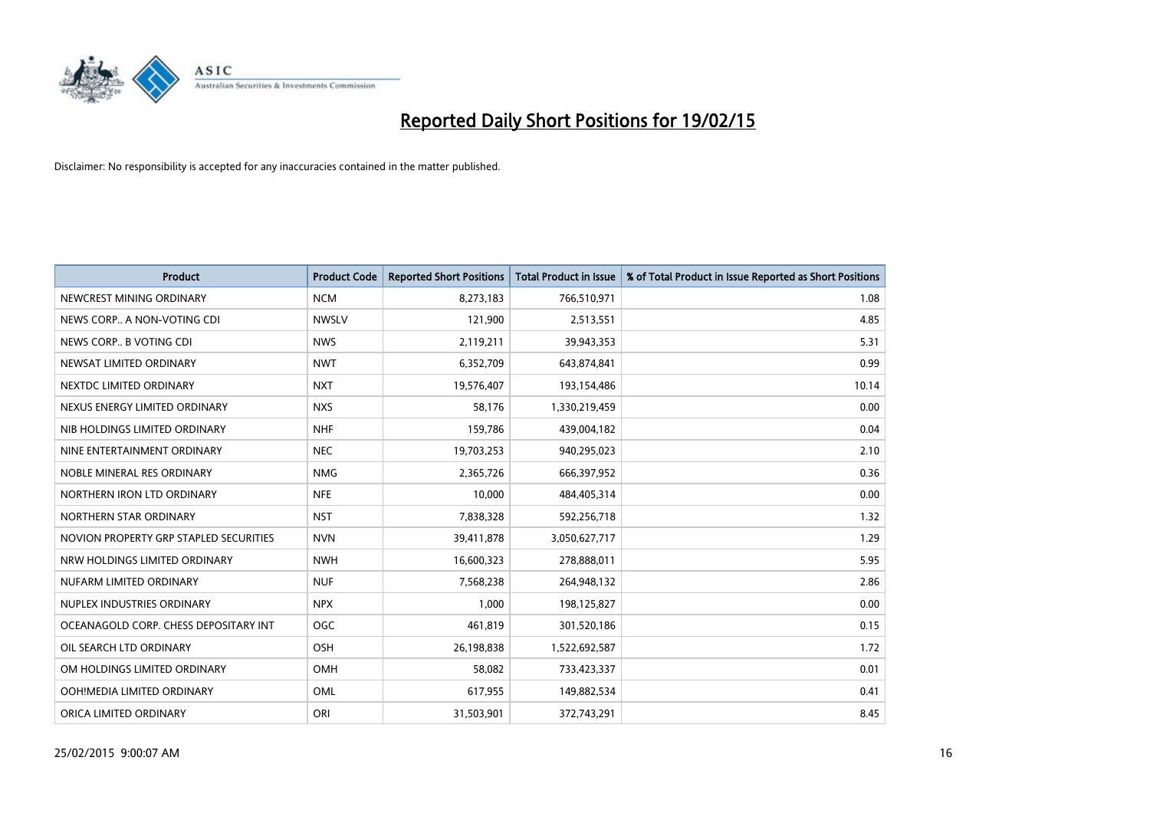

| <b>Product</b>                         | <b>Product Code</b> | <b>Reported Short Positions</b> | <b>Total Product in Issue</b> | % of Total Product in Issue Reported as Short Positions |
|----------------------------------------|---------------------|---------------------------------|-------------------------------|---------------------------------------------------------|
| NEWCREST MINING ORDINARY               | <b>NCM</b>          | 8,273,183                       | 766,510,971                   | 1.08                                                    |
| NEWS CORP A NON-VOTING CDI             | <b>NWSLV</b>        | 121,900                         | 2,513,551                     | 4.85                                                    |
| NEWS CORP B VOTING CDI                 | <b>NWS</b>          | 2,119,211                       | 39,943,353                    | 5.31                                                    |
| NEWSAT LIMITED ORDINARY                | <b>NWT</b>          | 6,352,709                       | 643,874,841                   | 0.99                                                    |
| NEXTDC LIMITED ORDINARY                | <b>NXT</b>          | 19,576,407                      | 193,154,486                   | 10.14                                                   |
| NEXUS ENERGY LIMITED ORDINARY          | <b>NXS</b>          | 58,176                          | 1,330,219,459                 | 0.00                                                    |
| NIB HOLDINGS LIMITED ORDINARY          | <b>NHF</b>          | 159,786                         | 439,004,182                   | 0.04                                                    |
| NINE ENTERTAINMENT ORDINARY            | <b>NEC</b>          | 19,703,253                      | 940,295,023                   | 2.10                                                    |
| NOBLE MINERAL RES ORDINARY             | <b>NMG</b>          | 2,365,726                       | 666,397,952                   | 0.36                                                    |
| NORTHERN IRON LTD ORDINARY             | <b>NFE</b>          | 10,000                          | 484,405,314                   | 0.00                                                    |
| NORTHERN STAR ORDINARY                 | <b>NST</b>          | 7,838,328                       | 592,256,718                   | 1.32                                                    |
| NOVION PROPERTY GRP STAPLED SECURITIES | <b>NVN</b>          | 39,411,878                      | 3,050,627,717                 | 1.29                                                    |
| NRW HOLDINGS LIMITED ORDINARY          | <b>NWH</b>          | 16,600,323                      | 278,888,011                   | 5.95                                                    |
| NUFARM LIMITED ORDINARY                | <b>NUF</b>          | 7,568,238                       | 264,948,132                   | 2.86                                                    |
| NUPLEX INDUSTRIES ORDINARY             | <b>NPX</b>          | 1,000                           | 198,125,827                   | 0.00                                                    |
| OCEANAGOLD CORP. CHESS DEPOSITARY INT  | <b>OGC</b>          | 461,819                         | 301,520,186                   | 0.15                                                    |
| OIL SEARCH LTD ORDINARY                | OSH                 | 26,198,838                      | 1,522,692,587                 | 1.72                                                    |
| OM HOLDINGS LIMITED ORDINARY           | OMH                 | 58,082                          | 733,423,337                   | 0.01                                                    |
| OOH!MEDIA LIMITED ORDINARY             | <b>OML</b>          | 617,955                         | 149,882,534                   | 0.41                                                    |
| ORICA LIMITED ORDINARY                 | ORI                 | 31,503,901                      | 372,743,291                   | 8.45                                                    |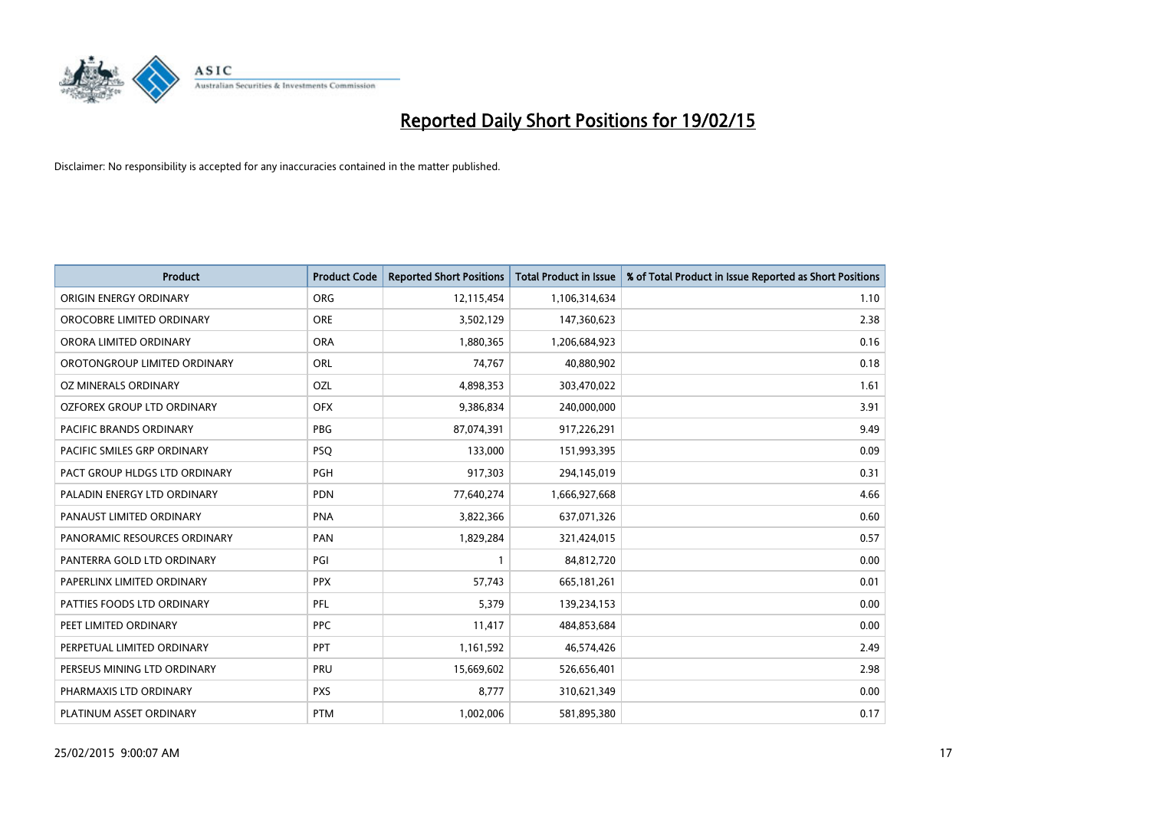

| <b>Product</b>                    | <b>Product Code</b> | <b>Reported Short Positions</b> | <b>Total Product in Issue</b> | % of Total Product in Issue Reported as Short Positions |
|-----------------------------------|---------------------|---------------------------------|-------------------------------|---------------------------------------------------------|
| ORIGIN ENERGY ORDINARY            | <b>ORG</b>          | 12,115,454                      | 1,106,314,634                 | 1.10                                                    |
| OROCOBRE LIMITED ORDINARY         | <b>ORE</b>          | 3,502,129                       | 147,360,623                   | 2.38                                                    |
| ORORA LIMITED ORDINARY            | <b>ORA</b>          | 1,880,365                       | 1,206,684,923                 | 0.16                                                    |
| OROTONGROUP LIMITED ORDINARY      | ORL                 | 74,767                          | 40,880,902                    | 0.18                                                    |
| OZ MINERALS ORDINARY              | OZL                 | 4,898,353                       | 303,470,022                   | 1.61                                                    |
| <b>OZFOREX GROUP LTD ORDINARY</b> | <b>OFX</b>          | 9,386,834                       | 240,000,000                   | 3.91                                                    |
| PACIFIC BRANDS ORDINARY           | <b>PBG</b>          | 87,074,391                      | 917,226,291                   | 9.49                                                    |
| PACIFIC SMILES GRP ORDINARY       | <b>PSQ</b>          | 133,000                         | 151,993,395                   | 0.09                                                    |
| PACT GROUP HLDGS LTD ORDINARY     | <b>PGH</b>          | 917,303                         | 294,145,019                   | 0.31                                                    |
| PALADIN ENERGY LTD ORDINARY       | <b>PDN</b>          | 77,640,274                      | 1,666,927,668                 | 4.66                                                    |
| PANAUST LIMITED ORDINARY          | <b>PNA</b>          | 3,822,366                       | 637,071,326                   | 0.60                                                    |
| PANORAMIC RESOURCES ORDINARY      | PAN                 | 1,829,284                       | 321,424,015                   | 0.57                                                    |
| PANTERRA GOLD LTD ORDINARY        | PGI                 | $\mathbf{1}$                    | 84,812,720                    | 0.00                                                    |
| PAPERLINX LIMITED ORDINARY        | <b>PPX</b>          | 57,743                          | 665, 181, 261                 | 0.01                                                    |
| PATTIES FOODS LTD ORDINARY        | PFL                 | 5,379                           | 139,234,153                   | 0.00                                                    |
| PEET LIMITED ORDINARY             | <b>PPC</b>          | 11,417                          | 484,853,684                   | 0.00                                                    |
| PERPETUAL LIMITED ORDINARY        | <b>PPT</b>          | 1,161,592                       | 46,574,426                    | 2.49                                                    |
| PERSEUS MINING LTD ORDINARY       | <b>PRU</b>          | 15,669,602                      | 526,656,401                   | 2.98                                                    |
| PHARMAXIS LTD ORDINARY            | <b>PXS</b>          | 8,777                           | 310,621,349                   | 0.00                                                    |
| PLATINUM ASSET ORDINARY           | <b>PTM</b>          | 1,002,006                       | 581,895,380                   | 0.17                                                    |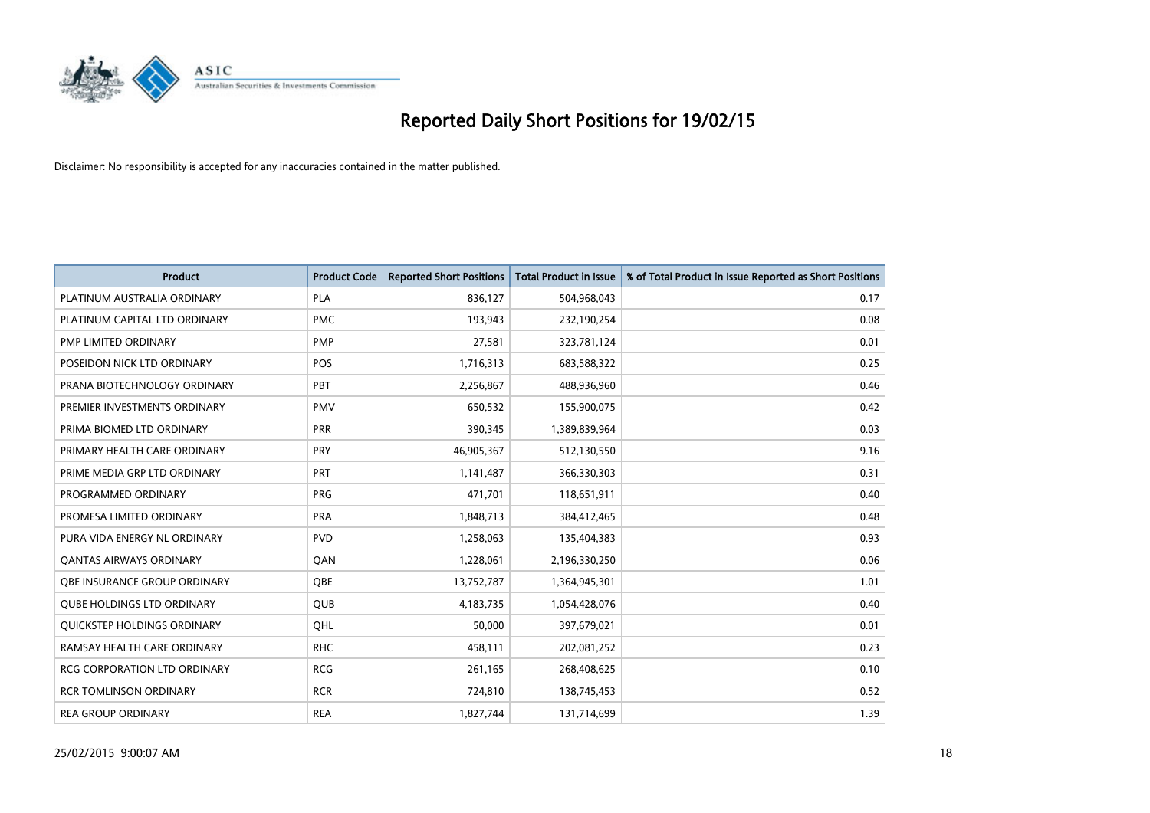

| <b>Product</b>                    | <b>Product Code</b> | <b>Reported Short Positions</b> | <b>Total Product in Issue</b> | % of Total Product in Issue Reported as Short Positions |
|-----------------------------------|---------------------|---------------------------------|-------------------------------|---------------------------------------------------------|
| PLATINUM AUSTRALIA ORDINARY       | <b>PLA</b>          | 836,127                         | 504,968,043                   | 0.17                                                    |
| PLATINUM CAPITAL LTD ORDINARY     | <b>PMC</b>          | 193,943                         | 232,190,254                   | 0.08                                                    |
| PMP LIMITED ORDINARY              | <b>PMP</b>          | 27,581                          | 323,781,124                   | 0.01                                                    |
| POSEIDON NICK LTD ORDINARY        | <b>POS</b>          | 1,716,313                       | 683,588,322                   | 0.25                                                    |
| PRANA BIOTECHNOLOGY ORDINARY      | PBT                 | 2,256,867                       | 488,936,960                   | 0.46                                                    |
| PREMIER INVESTMENTS ORDINARY      | <b>PMV</b>          | 650,532                         | 155,900,075                   | 0.42                                                    |
| PRIMA BIOMED LTD ORDINARY         | <b>PRR</b>          | 390,345                         | 1,389,839,964                 | 0.03                                                    |
| PRIMARY HEALTH CARE ORDINARY      | <b>PRY</b>          | 46,905,367                      | 512,130,550                   | 9.16                                                    |
| PRIME MEDIA GRP LTD ORDINARY      | <b>PRT</b>          | 1,141,487                       | 366,330,303                   | 0.31                                                    |
| PROGRAMMED ORDINARY               | <b>PRG</b>          | 471,701                         | 118,651,911                   | 0.40                                                    |
| PROMESA LIMITED ORDINARY          | <b>PRA</b>          | 1,848,713                       | 384,412,465                   | 0.48                                                    |
| PURA VIDA ENERGY NL ORDINARY      | <b>PVD</b>          | 1,258,063                       | 135,404,383                   | 0.93                                                    |
| <b>QANTAS AIRWAYS ORDINARY</b>    | QAN                 | 1,228,061                       | 2,196,330,250                 | 0.06                                                    |
| OBE INSURANCE GROUP ORDINARY      | <b>OBE</b>          | 13,752,787                      | 1,364,945,301                 | 1.01                                                    |
| <b>QUBE HOLDINGS LTD ORDINARY</b> | <b>QUB</b>          | 4,183,735                       | 1,054,428,076                 | 0.40                                                    |
| QUICKSTEP HOLDINGS ORDINARY       | OHL                 | 50,000                          | 397,679,021                   | 0.01                                                    |
| RAMSAY HEALTH CARE ORDINARY       | <b>RHC</b>          | 458,111                         | 202,081,252                   | 0.23                                                    |
| RCG CORPORATION LTD ORDINARY      | <b>RCG</b>          | 261,165                         | 268,408,625                   | 0.10                                                    |
| <b>RCR TOMLINSON ORDINARY</b>     | <b>RCR</b>          | 724,810                         | 138,745,453                   | 0.52                                                    |
| <b>REA GROUP ORDINARY</b>         | <b>REA</b>          | 1,827,744                       | 131,714,699                   | 1.39                                                    |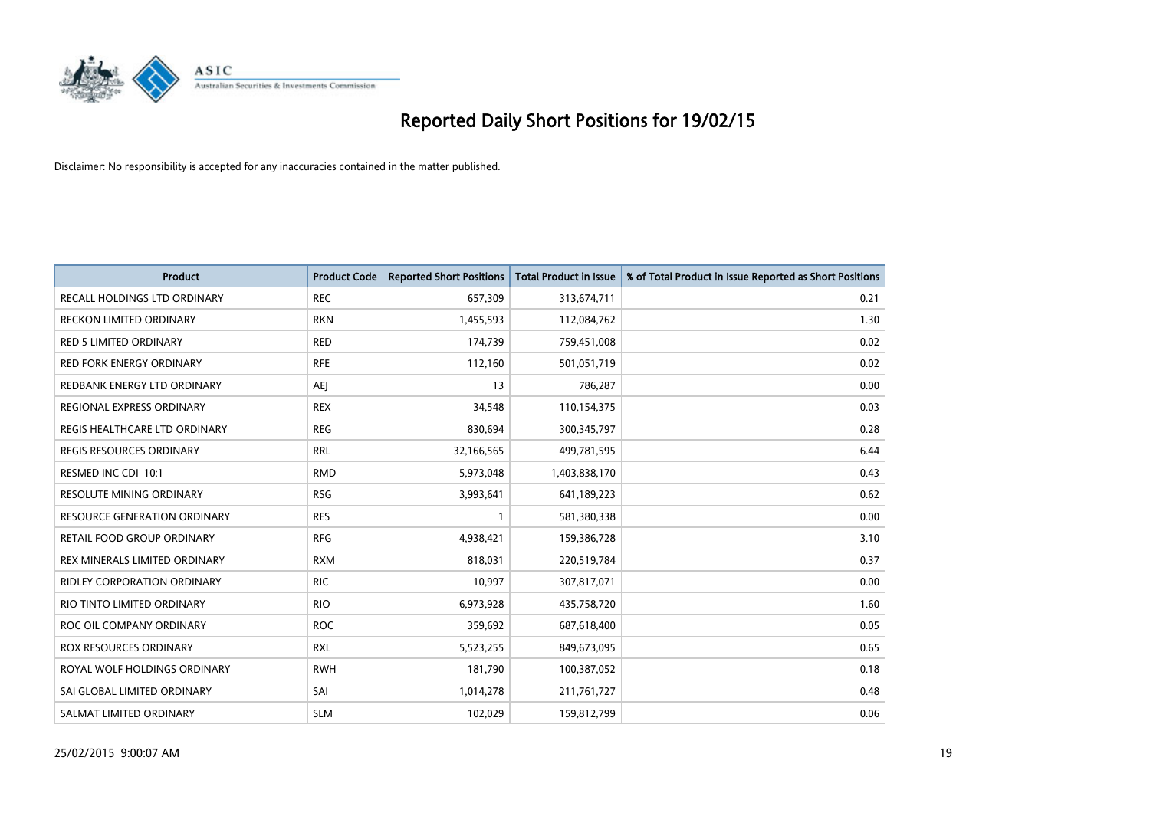

| <b>Product</b>                      | <b>Product Code</b> | <b>Reported Short Positions</b> | <b>Total Product in Issue</b> | % of Total Product in Issue Reported as Short Positions |
|-------------------------------------|---------------------|---------------------------------|-------------------------------|---------------------------------------------------------|
| RECALL HOLDINGS LTD ORDINARY        | <b>REC</b>          | 657,309                         | 313,674,711                   | 0.21                                                    |
| <b>RECKON LIMITED ORDINARY</b>      | <b>RKN</b>          | 1,455,593                       | 112,084,762                   | 1.30                                                    |
| RED 5 LIMITED ORDINARY              | <b>RED</b>          | 174,739                         | 759,451,008                   | 0.02                                                    |
| RED FORK ENERGY ORDINARY            | <b>RFE</b>          | 112,160                         | 501,051,719                   | 0.02                                                    |
| REDBANK ENERGY LTD ORDINARY         | <b>AEJ</b>          | 13                              | 786,287                       | 0.00                                                    |
| REGIONAL EXPRESS ORDINARY           | <b>REX</b>          | 34,548                          | 110,154,375                   | 0.03                                                    |
| REGIS HEALTHCARE LTD ORDINARY       | <b>REG</b>          | 830,694                         | 300,345,797                   | 0.28                                                    |
| REGIS RESOURCES ORDINARY            | <b>RRL</b>          | 32,166,565                      | 499,781,595                   | 6.44                                                    |
| RESMED INC CDI 10:1                 | <b>RMD</b>          | 5,973,048                       | 1,403,838,170                 | 0.43                                                    |
| <b>RESOLUTE MINING ORDINARY</b>     | <b>RSG</b>          | 3,993,641                       | 641,189,223                   | 0.62                                                    |
| <b>RESOURCE GENERATION ORDINARY</b> | <b>RES</b>          |                                 | 581,380,338                   | 0.00                                                    |
| RETAIL FOOD GROUP ORDINARY          | <b>RFG</b>          | 4,938,421                       | 159,386,728                   | 3.10                                                    |
| REX MINERALS LIMITED ORDINARY       | <b>RXM</b>          | 818,031                         | 220,519,784                   | 0.37                                                    |
| <b>RIDLEY CORPORATION ORDINARY</b>  | <b>RIC</b>          | 10,997                          | 307,817,071                   | 0.00                                                    |
| RIO TINTO LIMITED ORDINARY          | <b>RIO</b>          | 6,973,928                       | 435,758,720                   | 1.60                                                    |
| ROC OIL COMPANY ORDINARY            | <b>ROC</b>          | 359,692                         | 687,618,400                   | 0.05                                                    |
| ROX RESOURCES ORDINARY              | <b>RXL</b>          | 5,523,255                       | 849,673,095                   | 0.65                                                    |
| ROYAL WOLF HOLDINGS ORDINARY        | <b>RWH</b>          | 181,790                         | 100,387,052                   | 0.18                                                    |
| SAI GLOBAL LIMITED ORDINARY         | SAI                 | 1,014,278                       | 211,761,727                   | 0.48                                                    |
| SALMAT LIMITED ORDINARY             | <b>SLM</b>          | 102,029                         | 159,812,799                   | 0.06                                                    |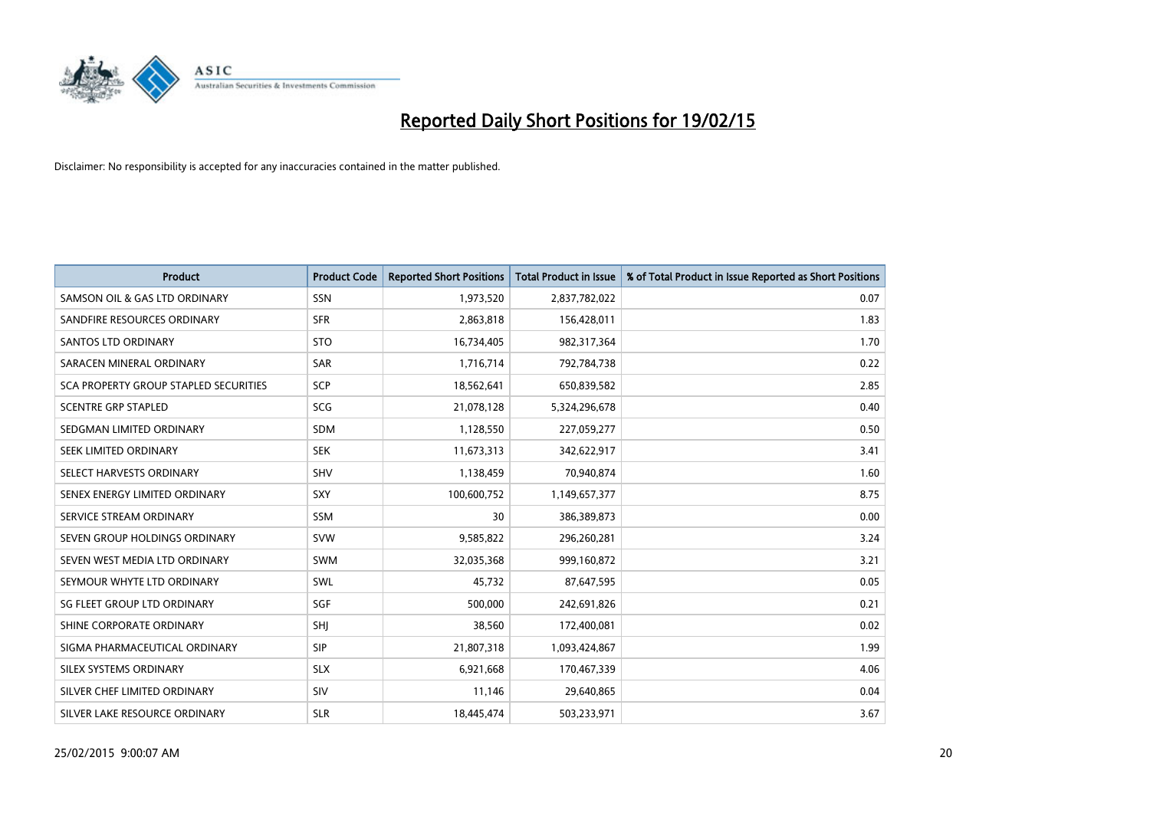

| <b>Product</b>                               | <b>Product Code</b> | <b>Reported Short Positions</b> | <b>Total Product in Issue</b> | % of Total Product in Issue Reported as Short Positions |
|----------------------------------------------|---------------------|---------------------------------|-------------------------------|---------------------------------------------------------|
| SAMSON OIL & GAS LTD ORDINARY                | SSN                 | 1,973,520                       | 2,837,782,022                 | 0.07                                                    |
| SANDFIRE RESOURCES ORDINARY                  | <b>SFR</b>          | 2,863,818                       | 156,428,011                   | 1.83                                                    |
| <b>SANTOS LTD ORDINARY</b>                   | <b>STO</b>          | 16,734,405                      | 982,317,364                   | 1.70                                                    |
| SARACEN MINERAL ORDINARY                     | <b>SAR</b>          | 1,716,714                       | 792,784,738                   | 0.22                                                    |
| <b>SCA PROPERTY GROUP STAPLED SECURITIES</b> | <b>SCP</b>          | 18,562,641                      | 650,839,582                   | 2.85                                                    |
| <b>SCENTRE GRP STAPLED</b>                   | <b>SCG</b>          | 21,078,128                      | 5,324,296,678                 | 0.40                                                    |
| SEDGMAN LIMITED ORDINARY                     | SDM                 | 1,128,550                       | 227,059,277                   | 0.50                                                    |
| SEEK LIMITED ORDINARY                        | <b>SEK</b>          | 11,673,313                      | 342,622,917                   | 3.41                                                    |
| SELECT HARVESTS ORDINARY                     | SHV                 | 1,138,459                       | 70,940,874                    | 1.60                                                    |
| SENEX ENERGY LIMITED ORDINARY                | <b>SXY</b>          | 100,600,752                     | 1,149,657,377                 | 8.75                                                    |
| SERVICE STREAM ORDINARY                      | SSM                 | 30                              | 386,389,873                   | 0.00                                                    |
| SEVEN GROUP HOLDINGS ORDINARY                | <b>SVW</b>          | 9,585,822                       | 296,260,281                   | 3.24                                                    |
| SEVEN WEST MEDIA LTD ORDINARY                | <b>SWM</b>          | 32,035,368                      | 999,160,872                   | 3.21                                                    |
| SEYMOUR WHYTE LTD ORDINARY                   | SWL                 | 45,732                          | 87,647,595                    | 0.05                                                    |
| SG FLEET GROUP LTD ORDINARY                  | SGF                 | 500,000                         | 242,691,826                   | 0.21                                                    |
| SHINE CORPORATE ORDINARY                     | SHI                 | 38,560                          | 172,400,081                   | 0.02                                                    |
| SIGMA PHARMACEUTICAL ORDINARY                | <b>SIP</b>          | 21,807,318                      | 1,093,424,867                 | 1.99                                                    |
| SILEX SYSTEMS ORDINARY                       | <b>SLX</b>          | 6,921,668                       | 170,467,339                   | 4.06                                                    |
| SILVER CHEF LIMITED ORDINARY                 | <b>SIV</b>          | 11,146                          | 29,640,865                    | 0.04                                                    |
| SILVER LAKE RESOURCE ORDINARY                | <b>SLR</b>          | 18,445,474                      | 503,233,971                   | 3.67                                                    |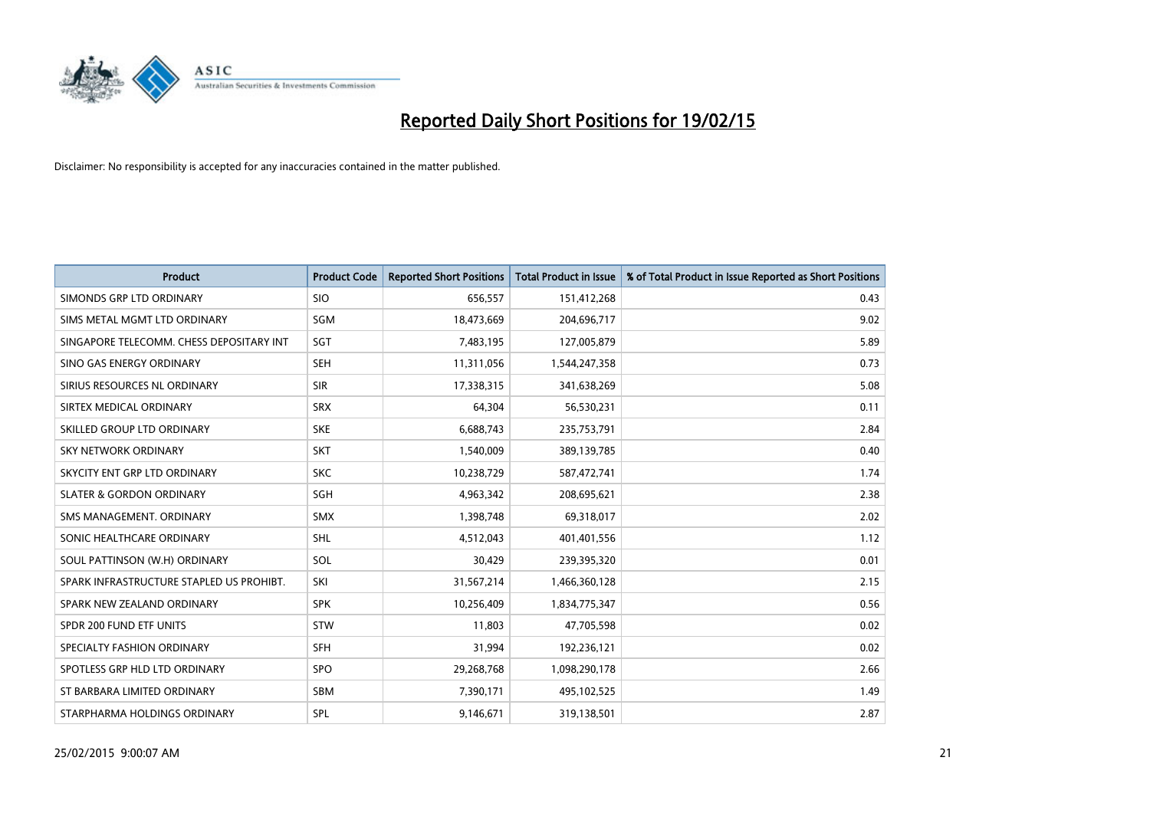

| <b>Product</b>                           | <b>Product Code</b> | <b>Reported Short Positions</b> | <b>Total Product in Issue</b> | % of Total Product in Issue Reported as Short Positions |
|------------------------------------------|---------------------|---------------------------------|-------------------------------|---------------------------------------------------------|
| SIMONDS GRP LTD ORDINARY                 | <b>SIO</b>          | 656,557                         | 151,412,268                   | 0.43                                                    |
| SIMS METAL MGMT LTD ORDINARY             | <b>SGM</b>          | 18,473,669                      | 204,696,717                   | 9.02                                                    |
| SINGAPORE TELECOMM. CHESS DEPOSITARY INT | SGT                 | 7,483,195                       | 127,005,879                   | 5.89                                                    |
| SINO GAS ENERGY ORDINARY                 | <b>SEH</b>          | 11,311,056                      | 1,544,247,358                 | 0.73                                                    |
| SIRIUS RESOURCES NL ORDINARY             | <b>SIR</b>          | 17,338,315                      | 341,638,269                   | 5.08                                                    |
| SIRTEX MEDICAL ORDINARY                  | <b>SRX</b>          | 64,304                          | 56,530,231                    | 0.11                                                    |
| SKILLED GROUP LTD ORDINARY               | <b>SKE</b>          | 6,688,743                       | 235,753,791                   | 2.84                                                    |
| SKY NETWORK ORDINARY                     | <b>SKT</b>          | 1,540,009                       | 389,139,785                   | 0.40                                                    |
| SKYCITY ENT GRP LTD ORDINARY             | <b>SKC</b>          | 10,238,729                      | 587,472,741                   | 1.74                                                    |
| <b>SLATER &amp; GORDON ORDINARY</b>      | SGH                 | 4,963,342                       | 208,695,621                   | 2.38                                                    |
| SMS MANAGEMENT. ORDINARY                 | SMX                 | 1,398,748                       | 69,318,017                    | 2.02                                                    |
| SONIC HEALTHCARE ORDINARY                | <b>SHL</b>          | 4,512,043                       | 401,401,556                   | 1.12                                                    |
| SOUL PATTINSON (W.H) ORDINARY            | SOL                 | 30,429                          | 239,395,320                   | 0.01                                                    |
| SPARK INFRASTRUCTURE STAPLED US PROHIBT. | SKI                 | 31,567,214                      | 1,466,360,128                 | 2.15                                                    |
| SPARK NEW ZEALAND ORDINARY               | <b>SPK</b>          | 10,256,409                      | 1,834,775,347                 | 0.56                                                    |
| SPDR 200 FUND ETF UNITS                  | <b>STW</b>          | 11,803                          | 47,705,598                    | 0.02                                                    |
| SPECIALTY FASHION ORDINARY               | <b>SFH</b>          | 31,994                          | 192,236,121                   | 0.02                                                    |
| SPOTLESS GRP HLD LTD ORDINARY            | <b>SPO</b>          | 29,268,768                      | 1,098,290,178                 | 2.66                                                    |
| ST BARBARA LIMITED ORDINARY              | <b>SBM</b>          | 7,390,171                       | 495,102,525                   | 1.49                                                    |
| STARPHARMA HOLDINGS ORDINARY             | SPL                 | 9,146,671                       | 319,138,501                   | 2.87                                                    |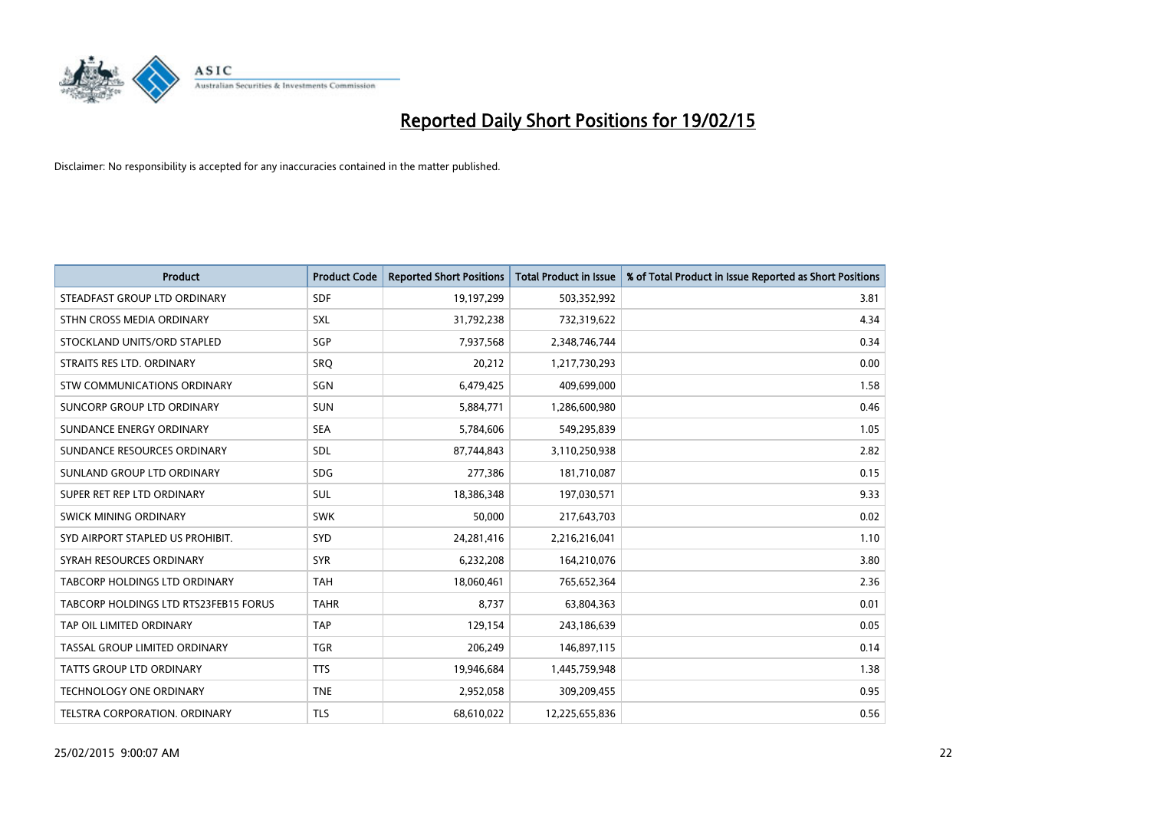

| <b>Product</b>                        | <b>Product Code</b> | <b>Reported Short Positions</b> | <b>Total Product in Issue</b> | % of Total Product in Issue Reported as Short Positions |
|---------------------------------------|---------------------|---------------------------------|-------------------------------|---------------------------------------------------------|
| STEADFAST GROUP LTD ORDINARY          | <b>SDF</b>          | 19,197,299                      | 503,352,992                   | 3.81                                                    |
| STHN CROSS MEDIA ORDINARY             | <b>SXL</b>          | 31,792,238                      | 732,319,622                   | 4.34                                                    |
| STOCKLAND UNITS/ORD STAPLED           | SGP                 | 7,937,568                       | 2,348,746,744                 | 0.34                                                    |
| STRAITS RES LTD. ORDINARY             | <b>SRQ</b>          | 20,212                          | 1,217,730,293                 | 0.00                                                    |
| STW COMMUNICATIONS ORDINARY           | SGN                 | 6,479,425                       | 409,699,000                   | 1.58                                                    |
| SUNCORP GROUP LTD ORDINARY            | <b>SUN</b>          | 5,884,771                       | 1,286,600,980                 | 0.46                                                    |
| SUNDANCE ENERGY ORDINARY              | <b>SEA</b>          | 5,784,606                       | 549,295,839                   | 1.05                                                    |
| SUNDANCE RESOURCES ORDINARY           | SDL                 | 87,744,843                      | 3,110,250,938                 | 2.82                                                    |
| SUNLAND GROUP LTD ORDINARY            | <b>SDG</b>          | 277,386                         | 181,710,087                   | 0.15                                                    |
| SUPER RET REP LTD ORDINARY            | <b>SUL</b>          | 18,386,348                      | 197,030,571                   | 9.33                                                    |
| SWICK MINING ORDINARY                 | <b>SWK</b>          | 50,000                          | 217,643,703                   | 0.02                                                    |
| SYD AIRPORT STAPLED US PROHIBIT.      | <b>SYD</b>          | 24,281,416                      | 2,216,216,041                 | 1.10                                                    |
| SYRAH RESOURCES ORDINARY              | <b>SYR</b>          | 6,232,208                       | 164,210,076                   | 3.80                                                    |
| TABCORP HOLDINGS LTD ORDINARY         | <b>TAH</b>          | 18,060,461                      | 765,652,364                   | 2.36                                                    |
| TABCORP HOLDINGS LTD RTS23FEB15 FORUS | <b>TAHR</b>         | 8,737                           | 63,804,363                    | 0.01                                                    |
| TAP OIL LIMITED ORDINARY              | <b>TAP</b>          | 129,154                         | 243,186,639                   | 0.05                                                    |
| TASSAL GROUP LIMITED ORDINARY         | <b>TGR</b>          | 206,249                         | 146,897,115                   | 0.14                                                    |
| <b>TATTS GROUP LTD ORDINARY</b>       | <b>TTS</b>          | 19,946,684                      | 1,445,759,948                 | 1.38                                                    |
| <b>TECHNOLOGY ONE ORDINARY</b>        | <b>TNE</b>          | 2,952,058                       | 309,209,455                   | 0.95                                                    |
| TELSTRA CORPORATION, ORDINARY         | <b>TLS</b>          | 68,610,022                      | 12,225,655,836                | 0.56                                                    |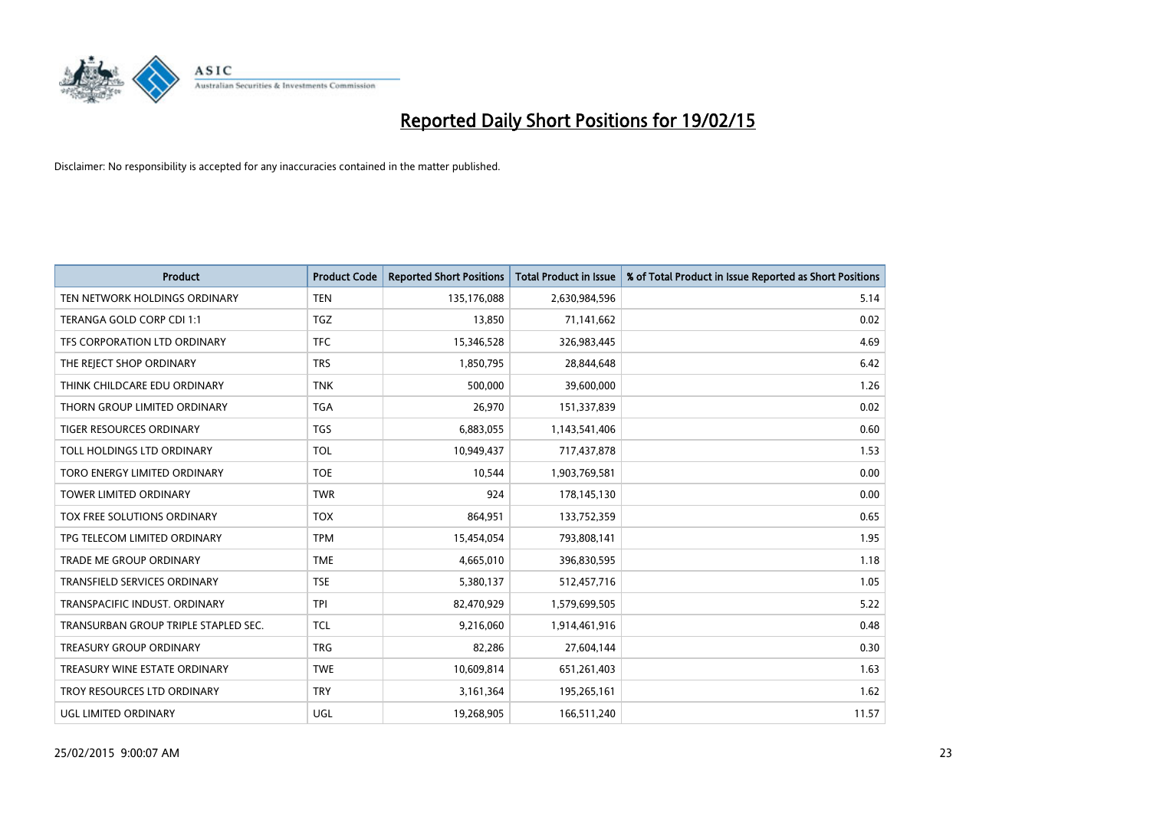

| <b>Product</b>                       | <b>Product Code</b> | <b>Reported Short Positions</b> | <b>Total Product in Issue</b> | % of Total Product in Issue Reported as Short Positions |
|--------------------------------------|---------------------|---------------------------------|-------------------------------|---------------------------------------------------------|
| TEN NETWORK HOLDINGS ORDINARY        | <b>TEN</b>          | 135,176,088                     | 2,630,984,596                 | 5.14                                                    |
| TERANGA GOLD CORP CDI 1:1            | TGZ                 | 13,850                          | 71,141,662                    | 0.02                                                    |
| TFS CORPORATION LTD ORDINARY         | <b>TFC</b>          | 15,346,528                      | 326,983,445                   | 4.69                                                    |
| THE REJECT SHOP ORDINARY             | <b>TRS</b>          | 1,850,795                       | 28,844,648                    | 6.42                                                    |
| THINK CHILDCARE EDU ORDINARY         | <b>TNK</b>          | 500,000                         | 39,600,000                    | 1.26                                                    |
| THORN GROUP LIMITED ORDINARY         | <b>TGA</b>          | 26,970                          | 151,337,839                   | 0.02                                                    |
| TIGER RESOURCES ORDINARY             | <b>TGS</b>          | 6,883,055                       | 1,143,541,406                 | 0.60                                                    |
| TOLL HOLDINGS LTD ORDINARY           | <b>TOL</b>          | 10,949,437                      | 717,437,878                   | 1.53                                                    |
| TORO ENERGY LIMITED ORDINARY         | <b>TOE</b>          | 10,544                          | 1,903,769,581                 | 0.00                                                    |
| <b>TOWER LIMITED ORDINARY</b>        | <b>TWR</b>          | 924                             | 178,145,130                   | 0.00                                                    |
| TOX FREE SOLUTIONS ORDINARY          | <b>TOX</b>          | 864,951                         | 133,752,359                   | 0.65                                                    |
| TPG TELECOM LIMITED ORDINARY         | <b>TPM</b>          | 15,454,054                      | 793,808,141                   | 1.95                                                    |
| TRADE ME GROUP ORDINARY              | <b>TME</b>          | 4,665,010                       | 396,830,595                   | 1.18                                                    |
| <b>TRANSFIELD SERVICES ORDINARY</b>  | <b>TSE</b>          | 5,380,137                       | 512,457,716                   | 1.05                                                    |
| TRANSPACIFIC INDUST, ORDINARY        | <b>TPI</b>          | 82,470,929                      | 1,579,699,505                 | 5.22                                                    |
| TRANSURBAN GROUP TRIPLE STAPLED SEC. | <b>TCL</b>          | 9,216,060                       | 1,914,461,916                 | 0.48                                                    |
| TREASURY GROUP ORDINARY              | <b>TRG</b>          | 82,286                          | 27,604,144                    | 0.30                                                    |
| TREASURY WINE ESTATE ORDINARY        | <b>TWE</b>          | 10,609,814                      | 651,261,403                   | 1.63                                                    |
| TROY RESOURCES LTD ORDINARY          | <b>TRY</b>          | 3,161,364                       | 195,265,161                   | 1.62                                                    |
| UGL LIMITED ORDINARY                 | UGL                 | 19,268,905                      | 166,511,240                   | 11.57                                                   |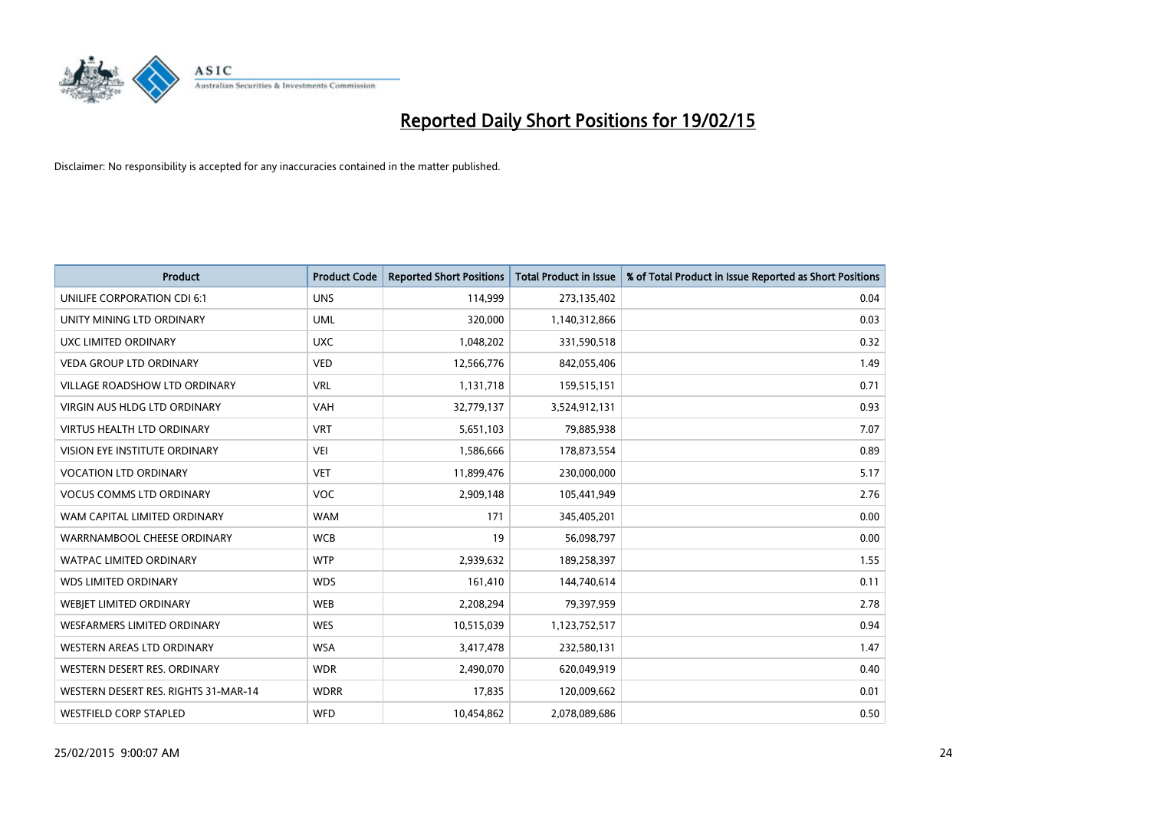

| <b>Product</b>                       | <b>Product Code</b> | <b>Reported Short Positions</b> | <b>Total Product in Issue</b> | % of Total Product in Issue Reported as Short Positions |
|--------------------------------------|---------------------|---------------------------------|-------------------------------|---------------------------------------------------------|
| UNILIFE CORPORATION CDI 6:1          | <b>UNS</b>          | 114,999                         | 273,135,402                   | 0.04                                                    |
| UNITY MINING LTD ORDINARY            | <b>UML</b>          | 320,000                         | 1,140,312,866                 | 0.03                                                    |
| UXC LIMITED ORDINARY                 | <b>UXC</b>          | 1,048,202                       | 331,590,518                   | 0.32                                                    |
| <b>VEDA GROUP LTD ORDINARY</b>       | <b>VED</b>          | 12,566,776                      | 842,055,406                   | 1.49                                                    |
| <b>VILLAGE ROADSHOW LTD ORDINARY</b> | <b>VRL</b>          | 1,131,718                       | 159,515,151                   | 0.71                                                    |
| <b>VIRGIN AUS HLDG LTD ORDINARY</b>  | VAH                 | 32,779,137                      | 3,524,912,131                 | 0.93                                                    |
| <b>VIRTUS HEALTH LTD ORDINARY</b>    | <b>VRT</b>          | 5,651,103                       | 79,885,938                    | 7.07                                                    |
| VISION EYE INSTITUTE ORDINARY        | <b>VEI</b>          | 1,586,666                       | 178,873,554                   | 0.89                                                    |
| <b>VOCATION LTD ORDINARY</b>         | <b>VET</b>          | 11,899,476                      | 230,000,000                   | 5.17                                                    |
| <b>VOCUS COMMS LTD ORDINARY</b>      | <b>VOC</b>          | 2,909,148                       | 105,441,949                   | 2.76                                                    |
| WAM CAPITAL LIMITED ORDINARY         | <b>WAM</b>          | 171                             | 345,405,201                   | 0.00                                                    |
| WARRNAMBOOL CHEESE ORDINARY          | <b>WCB</b>          | 19                              | 56,098,797                    | 0.00                                                    |
| <b>WATPAC LIMITED ORDINARY</b>       | <b>WTP</b>          | 2,939,632                       | 189,258,397                   | 1.55                                                    |
| <b>WDS LIMITED ORDINARY</b>          | <b>WDS</b>          | 161,410                         | 144,740,614                   | 0.11                                                    |
| WEBIET LIMITED ORDINARY              | <b>WEB</b>          | 2,208,294                       | 79,397,959                    | 2.78                                                    |
| <b>WESFARMERS LIMITED ORDINARY</b>   | <b>WES</b>          | 10,515,039                      | 1,123,752,517                 | 0.94                                                    |
| WESTERN AREAS LTD ORDINARY           | <b>WSA</b>          | 3,417,478                       | 232,580,131                   | 1.47                                                    |
| WESTERN DESERT RES. ORDINARY         | <b>WDR</b>          | 2,490,070                       | 620,049,919                   | 0.40                                                    |
| WESTERN DESERT RES. RIGHTS 31-MAR-14 | <b>WDRR</b>         | 17,835                          | 120,009,662                   | 0.01                                                    |
| <b>WESTFIELD CORP STAPLED</b>        | <b>WFD</b>          | 10,454,862                      | 2,078,089,686                 | 0.50                                                    |